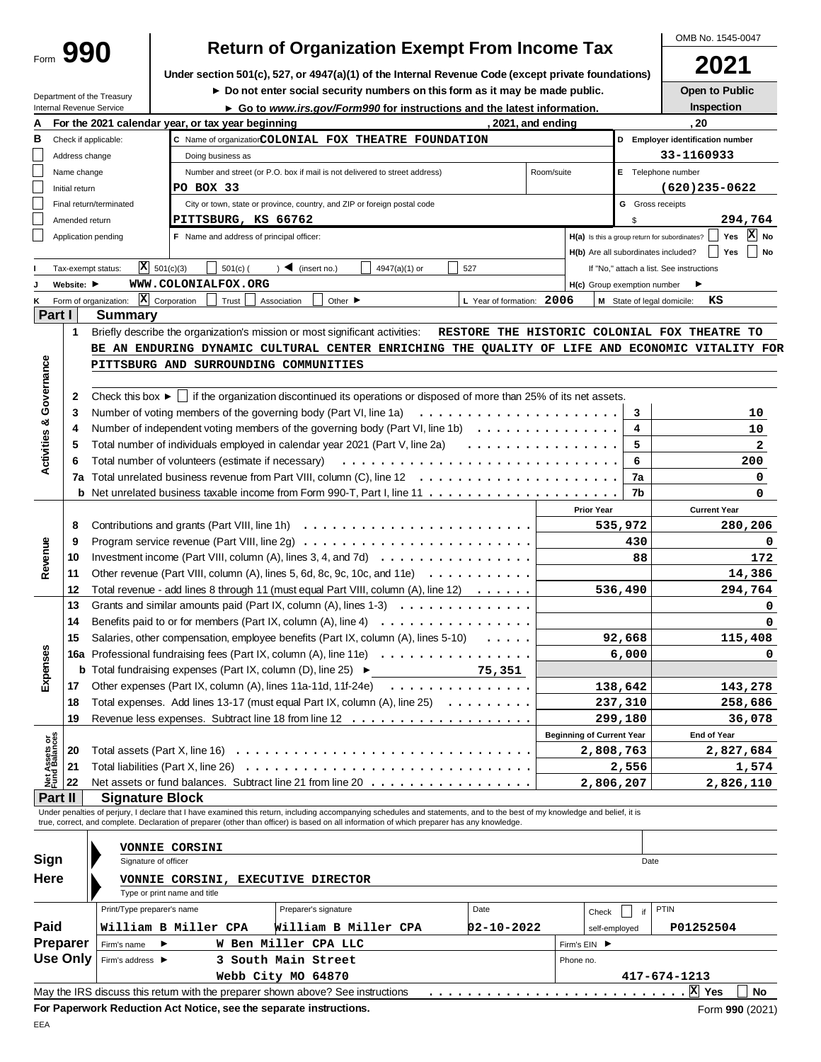|                                |                 |                                                                                                                                            |                                                      |                                       |                   |                                          |             |                      |                                    |                                                                            |                                                       |                                                                                                                                                                            |                  |                                  |         |                                               | OMB No. 1545-0047   |    |
|--------------------------------|-----------------|--------------------------------------------------------------------------------------------------------------------------------------------|------------------------------------------------------|---------------------------------------|-------------------|------------------------------------------|-------------|----------------------|------------------------------------|----------------------------------------------------------------------------|-------------------------------------------------------|----------------------------------------------------------------------------------------------------------------------------------------------------------------------------|------------------|----------------------------------|---------|-----------------------------------------------|---------------------|----|
|                                | Form 990        |                                                                                                                                            | <b>Return of Organization Exempt From Income Tax</b> |                                       |                   |                                          |             |                      |                                    |                                                                            |                                                       |                                                                                                                                                                            | 2021             |                                  |         |                                               |                     |    |
|                                |                 |                                                                                                                                            |                                                      |                                       |                   |                                          |             |                      |                                    |                                                                            |                                                       | Under section 501(c), 527, or 4947(a)(1) of the Internal Revenue Code (except private foundations)                                                                         |                  |                                  |         |                                               |                     |    |
|                                |                 | Department of the Treasury                                                                                                                 |                                                      |                                       |                   |                                          |             |                      |                                    |                                                                            |                                                       | Do not enter social security numbers on this form as it may be made public.                                                                                                |                  |                                  |         |                                               | Open to Public      |    |
|                                |                 | Internal Revenue Service                                                                                                                   |                                                      |                                       |                   |                                          |             |                      |                                    |                                                                            |                                                       | ► Go to www.irs.gov/Form990 for instructions and the latest information.                                                                                                   |                  |                                  |         |                                               | Inspection          |    |
| Α                              |                 | For the 2021 calendar year, or tax year beginning                                                                                          |                                                      |                                       |                   |                                          |             |                      |                                    |                                                                            |                                                       |                                                                                                                                                                            | 2021, and ending |                                  |         | , 20                                          |                     |    |
| В                              |                 | Check if applicable:                                                                                                                       |                                                      |                                       |                   |                                          |             |                      |                                    |                                                                            | C Name of organizatiorCOLONIAL FOX THEATRE FOUNDATION |                                                                                                                                                                            |                  |                                  |         | D Employer identification number              |                     |    |
|                                | Address change  |                                                                                                                                            |                                                      |                                       | Doing business as |                                          |             |                      |                                    |                                                                            |                                                       |                                                                                                                                                                            |                  |                                  |         | 33-1160933                                    |                     |    |
|                                | Name change     |                                                                                                                                            |                                                      |                                       |                   |                                          |             |                      |                                    | Number and street (or P.O. box if mail is not delivered to street address) |                                                       |                                                                                                                                                                            | Room/suite       |                                  |         | E Telephone number                            |                     |    |
|                                | Initial return  |                                                                                                                                            |                                                      |                                       | PO BOX 33         |                                          |             |                      |                                    |                                                                            |                                                       |                                                                                                                                                                            |                  |                                  |         | $(620)$ 235 - 0622                            |                     |    |
|                                |                 | Final return/terminated                                                                                                                    |                                                      |                                       |                   |                                          |             |                      |                                    | City or town, state or province, country, and ZIP or foreign postal code   |                                                       |                                                                                                                                                                            |                  |                                  |         | <b>G</b> Gross receipts                       |                     |    |
|                                | Amended return  |                                                                                                                                            |                                                      |                                       |                   | PITTSBURG, KS 66762                      |             |                      |                                    |                                                                            |                                                       |                                                                                                                                                                            |                  |                                  | \$      |                                               | 294,764             |    |
|                                |                 | Application pending                                                                                                                        |                                                      |                                       |                   | F Name and address of principal officer: |             |                      |                                    |                                                                            |                                                       |                                                                                                                                                                            |                  |                                  |         | H(a) Is this a group return for subordinates? | X No<br>Yes         |    |
|                                |                 |                                                                                                                                            |                                                      |                                       |                   |                                          |             |                      |                                    |                                                                            |                                                       |                                                                                                                                                                            |                  |                                  |         | H(b) Are all subordinates included?           | Yes                 | No |
|                                |                 | Tax-exempt status:                                                                                                                         |                                                      | $\overline{X}$ 501(c)(3)              |                   | $501(c)$ (                               |             | $)$ (insert no.)     |                                    | 4947(a)(1) or                                                              |                                                       | 527                                                                                                                                                                        |                  |                                  |         | If "No," attach a list. See instructions      |                     |    |
| J                              | Website: ▶      |                                                                                                                                            |                                                      |                                       |                   | WWW.COLONIALFOX.ORG                      |             |                      |                                    |                                                                            |                                                       |                                                                                                                                                                            |                  | H(c) Group exemption number      |         | ▶                                             |                     |    |
| Κ                              |                 | Form of organization:                                                                                                                      |                                                      | $ \mathbf{\overline{X}} $ Corporation |                   | Trust                                    | Association |                      | Other $\blacktriangleright$        |                                                                            |                                                       | L Year of formation: 2006                                                                                                                                                  |                  |                                  |         | M State of legal domicile:                    | кs                  |    |
| Part I                         |                 | Summary                                                                                                                                    |                                                      |                                       |                   |                                          |             |                      |                                    |                                                                            |                                                       |                                                                                                                                                                            |                  |                                  |         |                                               |                     |    |
|                                | $\mathbf{1}$    | Briefly describe the organization's mission or most significant activities:                                                                |                                                      |                                       |                   |                                          |             |                      |                                    |                                                                            |                                                       | RESTORE THE HISTORIC COLONIAL FOX THEATRE TO                                                                                                                               |                  |                                  |         |                                               |                     |    |
|                                |                 |                                                                                                                                            |                                                      |                                       |                   |                                          |             |                      |                                    |                                                                            |                                                       | BE AN ENDURING DYNAMIC CULTURAL CENTER ENRICHING THE QUALITY OF LIFE AND ECONOMIC VITALITY FOR                                                                             |                  |                                  |         |                                               |                     |    |
| Governance                     |                 | PITTSBURG AND SURROUNDING COMMUNITIES                                                                                                      |                                                      |                                       |                   |                                          |             |                      |                                    |                                                                            |                                                       |                                                                                                                                                                            |                  |                                  |         |                                               |                     |    |
|                                |                 |                                                                                                                                            |                                                      |                                       |                   |                                          |             |                      |                                    |                                                                            |                                                       |                                                                                                                                                                            |                  |                                  |         |                                               |                     |    |
|                                | 2               |                                                                                                                                            |                                                      |                                       |                   |                                          |             |                      |                                    |                                                                            |                                                       | Check this box $\blacktriangleright$   if the organization discontinued its operations or disposed of more than 25% of its net assets.                                     |                  |                                  |         |                                               |                     |    |
|                                | 3               | Number of voting members of the governing body (Part VI, line 1a)                                                                          |                                                      |                                       |                   |                                          |             |                      |                                    |                                                                            |                                                       |                                                                                                                                                                            |                  |                                  | 3       |                                               | 10                  |    |
|                                | 4               |                                                                                                                                            |                                                      |                                       |                   |                                          |             |                      |                                    |                                                                            |                                                       | Number of independent voting members of the governing body (Part VI, line 1b) $\ldots \ldots \ldots \ldots$                                                                |                  |                                  | 4       |                                               | 10                  |    |
| <b>Activities &amp;</b>        | 5               |                                                                                                                                            |                                                      |                                       |                   |                                          |             |                      |                                    |                                                                            |                                                       | Total number of individuals employed in calendar year 2021 (Part V, line 2a)                                                                                               |                  |                                  | 5       |                                               | 2                   |    |
|                                | 6               | Total number of volunteers (estimate if necessary)                                                                                         |                                                      |                                       |                   |                                          |             |                      |                                    |                                                                            |                                                       |                                                                                                                                                                            |                  |                                  | 6       |                                               | 200                 |    |
|                                |                 |                                                                                                                                            |                                                      |                                       |                   |                                          |             |                      |                                    |                                                                            |                                                       | <b>7a</b> Total unrelated business revenue from Part VIII, column (C), line 12 $\ldots$ ,                                                                                  |                  |                                  | 7a      |                                               | 0                   |    |
|                                |                 |                                                                                                                                            |                                                      |                                       |                   |                                          |             |                      |                                    |                                                                            |                                                       |                                                                                                                                                                            |                  |                                  | 7b      |                                               | 0                   |    |
|                                |                 |                                                                                                                                            |                                                      |                                       |                   |                                          |             |                      |                                    |                                                                            |                                                       |                                                                                                                                                                            |                  | <b>Prior Year</b>                |         |                                               | <b>Current Year</b> |    |
|                                |                 |                                                                                                                                            |                                                      |                                       |                   |                                          |             |                      |                                    |                                                                            |                                                       |                                                                                                                                                                            |                  |                                  |         |                                               | 280,206             |    |
|                                |                 | 8<br>535,972<br>9                                                                                                                          |                                                      |                                       |                   |                                          |             |                      |                                    |                                                                            |                                                       |                                                                                                                                                                            |                  |                                  |         |                                               |                     |    |
|                                |                 |                                                                                                                                            |                                                      |                                       |                   |                                          |             |                      |                                    |                                                                            |                                                       |                                                                                                                                                                            |                  |                                  | 430     |                                               |                     | 0  |
| Revenue                        | 10              |                                                                                                                                            |                                                      |                                       |                   |                                          |             |                      |                                    |                                                                            |                                                       | Investment income (Part VIII, column (A), lines 3, 4, and 7d) $\ldots$<br>Other revenue (Part VIII, column (A), lines 5, 6d, 8c, 9c, 10c, and 11e) $\ldots$ ,,,,,,,,,,     |                  |                                  | 88      |                                               | 172                 |    |
|                                | 11              |                                                                                                                                            |                                                      |                                       |                   |                                          |             |                      |                                    |                                                                            |                                                       |                                                                                                                                                                            |                  |                                  |         |                                               | 14,386              |    |
|                                | 12              |                                                                                                                                            |                                                      |                                       |                   |                                          |             |                      |                                    |                                                                            |                                                       | Total revenue - add lines 8 through 11 (must equal Part VIII, column $(A)$ , line 12) $\ldots \ldots$                                                                      |                  |                                  | 536,490 |                                               | 294,764             |    |
|                                |                 | 13<br>Grants and similar amounts paid (Part IX, column (A), lines $1-3$ )<br>Benefits paid to or for members (Part IX, column (A), line 4) |                                                      |                                       |                   |                                          |             |                      |                                    |                                                                            |                                                       |                                                                                                                                                                            |                  |                                  | 0       |                                               |                     |    |
|                                | 14              |                                                                                                                                            |                                                      |                                       |                   |                                          |             |                      |                                    |                                                                            |                                                       | .                                                                                                                                                                          |                  |                                  |         |                                               |                     | 0  |
|                                | 15              | Salaries, other compensation, employee benefits (Part IX, column (A), lines 5-10)                                                          |                                                      |                                       |                   |                                          |             |                      |                                    |                                                                            |                                                       | $\ldots$                                                                                                                                                                   |                  |                                  | 92,668  |                                               | 115,408             |    |
| Expenses                       |                 |                                                                                                                                            |                                                      |                                       |                   |                                          |             |                      |                                    |                                                                            |                                                       | 16a Professional fundraising fees (Part IX, column (A), line 11e)                                                                                                          |                  |                                  | 6,000   |                                               |                     | 0  |
|                                |                 |                                                                                                                                            |                                                      |                                       |                   |                                          |             |                      |                                    |                                                                            |                                                       | <b>b</b> Total fundraising expenses (Part IX, column (D), line 25) $\blacktriangleright$ 75, 351                                                                           |                  |                                  |         |                                               |                     |    |
|                                | 17              |                                                                                                                                            |                                                      |                                       |                   |                                          |             |                      |                                    |                                                                            |                                                       | Other expenses (Part IX, column (A), lines 11a-11d, 11f-24e) $\ldots \ldots \ldots \ldots$                                                                                 |                  |                                  | 138,642 |                                               | 143,278             |    |
|                                | 18              |                                                                                                                                            |                                                      |                                       |                   |                                          |             |                      |                                    |                                                                            |                                                       | Total expenses. Add lines 13-17 (must equal Part IX, column (A), line 25)                                                                                                  |                  |                                  | 237,310 |                                               | 258,686             |    |
|                                | 19              |                                                                                                                                            |                                                      |                                       |                   |                                          |             |                      |                                    |                                                                            |                                                       |                                                                                                                                                                            |                  |                                  | 299,180 |                                               | 36,078              |    |
|                                |                 |                                                                                                                                            |                                                      |                                       |                   |                                          |             |                      |                                    |                                                                            |                                                       |                                                                                                                                                                            |                  | <b>Beginning of Current Year</b> |         |                                               | End of Year         |    |
|                                | 20              |                                                                                                                                            |                                                      |                                       |                   |                                          |             |                      |                                    |                                                                            |                                                       |                                                                                                                                                                            |                  | 2,808,763                        |         |                                               | 2,827,684           |    |
| Net Assets or<br>Fund Balances | 21              |                                                                                                                                            |                                                      |                                       |                   |                                          |             |                      |                                    |                                                                            |                                                       |                                                                                                                                                                            |                  |                                  | 2,556   |                                               | 1,574               |    |
|                                | 22              |                                                                                                                                            |                                                      |                                       |                   |                                          |             |                      |                                    |                                                                            |                                                       | Net assets or fund balances. Subtract line 21 from line 20                                                                                                                 |                  | 2,806,207                        |         |                                               | 2,826,110           |    |
| Part II                        |                 | <b>Signature Block</b>                                                                                                                     |                                                      |                                       |                   |                                          |             |                      |                                    |                                                                            |                                                       |                                                                                                                                                                            |                  |                                  |         |                                               |                     |    |
|                                |                 | true, correct, and complete. Declaration of preparer (other than officer) is based on all information of which preparer has any knowledge. |                                                      |                                       |                   |                                          |             |                      |                                    |                                                                            |                                                       | Under penalties of perjury, I declare that I have examined this return, including accompanying schedules and statements, and to the best of my knowledge and belief, it is |                  |                                  |         |                                               |                     |    |
|                                |                 |                                                                                                                                            |                                                      |                                       |                   |                                          |             |                      |                                    |                                                                            |                                                       |                                                                                                                                                                            |                  |                                  |         |                                               |                     |    |
|                                |                 | VONNIE CORSINI                                                                                                                             |                                                      |                                       |                   |                                          |             |                      |                                    |                                                                            |                                                       |                                                                                                                                                                            |                  |                                  |         |                                               |                     |    |
| Sign                           |                 | Signature of officer                                                                                                                       |                                                      |                                       |                   |                                          |             |                      |                                    |                                                                            |                                                       |                                                                                                                                                                            |                  |                                  | Date    |                                               |                     |    |
| Here                           |                 |                                                                                                                                            |                                                      |                                       |                   |                                          |             |                      | VONNIE CORSINI, EXECUTIVE DIRECTOR |                                                                            |                                                       |                                                                                                                                                                            |                  |                                  |         |                                               |                     |    |
|                                |                 |                                                                                                                                            |                                                      | Type or print name and title          |                   |                                          |             |                      |                                    |                                                                            |                                                       |                                                                                                                                                                            |                  |                                  |         |                                               |                     |    |
|                                |                 | Print/Type preparer's name                                                                                                                 |                                                      |                                       |                   |                                          |             | Preparer's signature |                                    |                                                                            |                                                       | Date                                                                                                                                                                       |                  | Check                            | if      | PTIN                                          |                     |    |
| Paid                           |                 | William B Miller CPA                                                                                                                       |                                                      |                                       |                   |                                          |             |                      |                                    | William B Miller CPA                                                       |                                                       | 02-10-2022                                                                                                                                                                 |                  | self-employed                    |         | P01252504                                     |                     |    |
|                                | Preparer        | Firm's name                                                                                                                                |                                                      |                                       |                   | W Ben Miller CPA LLC                     |             |                      |                                    |                                                                            |                                                       |                                                                                                                                                                            |                  | Firm's EIN ▶                     |         |                                               |                     |    |
|                                | <b>Use Only</b> | Firm's address ▶                                                                                                                           |                                                      |                                       |                   | 3 South Main Street                      |             |                      |                                    |                                                                            |                                                       |                                                                                                                                                                            |                  | Phone no.                        |         |                                               |                     |    |
|                                |                 |                                                                                                                                            |                                                      |                                       |                   | Webb City MO 64870                       |             |                      |                                    |                                                                            |                                                       |                                                                                                                                                                            |                  |                                  |         | 417-674-1213                                  |                     |    |
|                                |                 | May the IRS discuss this retum with the preparer shown above? See instructions                                                             |                                                      |                                       |                   |                                          |             |                      |                                    |                                                                            |                                                       |                                                                                                                                                                            |                  |                                  |         | X Yes                                         | <b>No</b>           |    |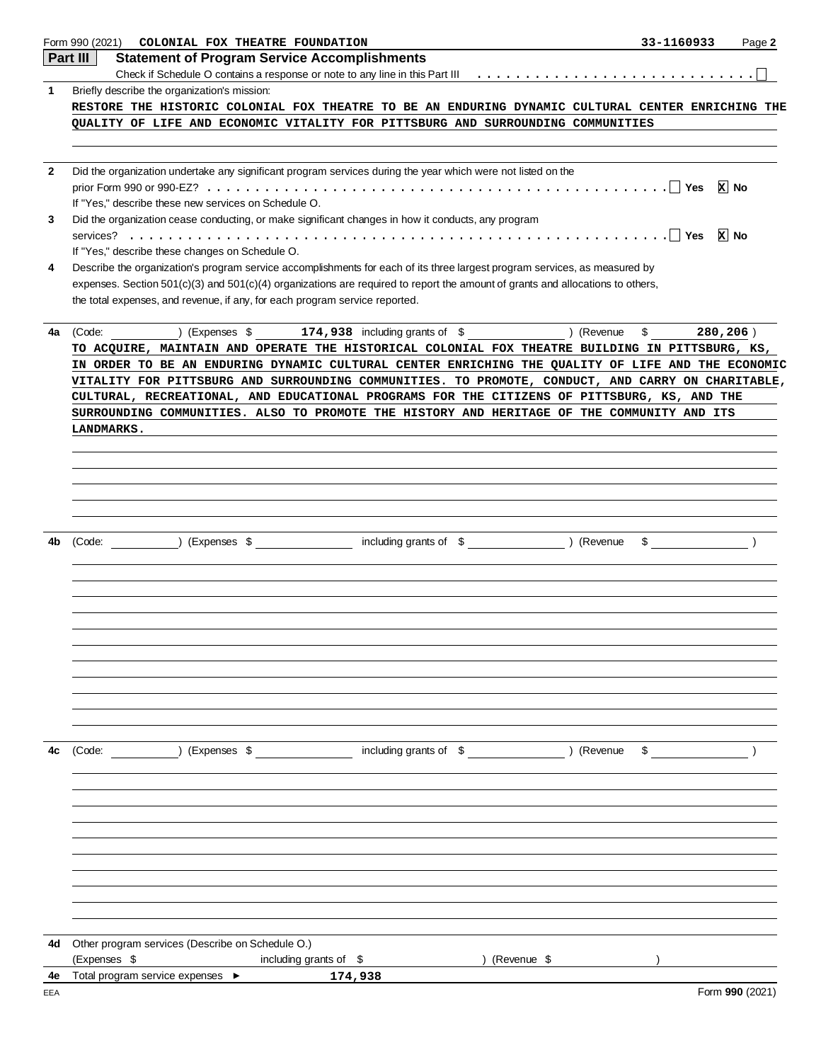|              | Form 990 (2021)<br>COLONIAL FOX THEATRE FOUNDATION                                                                                 | 33-1160933               | Page 2          |
|--------------|------------------------------------------------------------------------------------------------------------------------------------|--------------------------|-----------------|
|              | Part III<br><b>Statement of Program Service Accomplishments</b>                                                                    |                          |                 |
|              |                                                                                                                                    |                          |                 |
| 1            | Briefly describe the organization's mission:                                                                                       |                          |                 |
|              | RESTORE THE HISTORIC COLONIAL FOX THEATRE TO BE AN ENDURING DYNAMIC CULTURAL CENTER ENRICHING THE                                  |                          |                 |
|              | QUALITY OF LIFE AND ECONOMIC VITALITY FOR PITTSBURG AND SURROUNDING COMMUNITIES                                                    |                          |                 |
|              |                                                                                                                                    |                          |                 |
|              |                                                                                                                                    |                          |                 |
| $\mathbf{2}$ | Did the organization undertake any significant program services during the year which were not listed on the                       |                          |                 |
|              | If "Yes," describe these new services on Schedule O.                                                                               |                          | <b>x</b> No     |
| 3            | Did the organization cease conducting, or make significant changes in how it conducts, any program                                 |                          |                 |
|              |                                                                                                                                    |                          | ∣x∣ No          |
|              | If "Yes," describe these changes on Schedule O.                                                                                    |                          |                 |
| 4            | Describe the organization's program service accomplishments for each of its three largest program services, as measured by         |                          |                 |
|              | expenses. Section $501(c)(3)$ and $501(c)(4)$ organizations are required to report the amount of grants and allocations to others, |                          |                 |
|              | the total expenses, and revenue, if any, for each program service reported.                                                        |                          |                 |
|              |                                                                                                                                    |                          |                 |
| 4a           | (Expenses \$174,938 including grants of \$) (Revenue<br>(Code:                                                                     | $\mathbb{S}$<br>280,206) |                 |
|              | TO ACQUIRE, MAINTAIN AND OPERATE THE HISTORICAL COLONIAL FOX THEATRE BUILDING IN PITTSBURG, KS,                                    |                          |                 |
|              | IN ORDER TO BE AN ENDURING DYNAMIC CULTURAL CENTER ENRICHING THE QUALITY OF LIFE AND THE ECONOMIC                                  |                          |                 |
|              | VITALITY FOR PITTSBURG AND SURROUNDING COMMUNITIES. TO PROMOTE, CONDUCT, AND CARRY ON CHARITABLE,                                  |                          |                 |
|              | CULTURAL, RECREATIONAL, AND EDUCATIONAL PROGRAMS FOR THE CITIZENS OF PITTSBURG, KS, AND THE                                        |                          |                 |
|              | SURROUNDING COMMUNITIES. ALSO TO PROMOTE THE HISTORY AND HERITAGE OF THE COMMUNITY AND ITS                                         |                          |                 |
|              | LANDMARKS.                                                                                                                         |                          |                 |
|              |                                                                                                                                    |                          |                 |
|              |                                                                                                                                    |                          |                 |
|              |                                                                                                                                    |                          |                 |
|              |                                                                                                                                    |                          |                 |
|              |                                                                                                                                    |                          |                 |
|              |                                                                                                                                    |                          |                 |
| 4b           | including grants of \$ (Revenue<br>(Expenses \$<br>(Code:                                                                          | $\frac{1}{\sqrt{2}}$     |                 |
|              |                                                                                                                                    |                          |                 |
|              |                                                                                                                                    |                          |                 |
|              |                                                                                                                                    |                          |                 |
|              |                                                                                                                                    |                          |                 |
|              |                                                                                                                                    |                          |                 |
|              |                                                                                                                                    |                          |                 |
|              |                                                                                                                                    |                          |                 |
|              |                                                                                                                                    |                          |                 |
|              |                                                                                                                                    |                          |                 |
|              |                                                                                                                                    |                          |                 |
|              |                                                                                                                                    |                          |                 |
| 4c           | (Code:                                                                                                                             |                          |                 |
|              |                                                                                                                                    |                          |                 |
|              |                                                                                                                                    |                          |                 |
|              |                                                                                                                                    |                          |                 |
|              |                                                                                                                                    |                          |                 |
|              |                                                                                                                                    |                          |                 |
|              |                                                                                                                                    |                          |                 |
|              |                                                                                                                                    |                          |                 |
|              |                                                                                                                                    |                          |                 |
|              |                                                                                                                                    |                          |                 |
|              |                                                                                                                                    |                          |                 |
|              |                                                                                                                                    |                          |                 |
| 4d           | Other program services (Describe on Schedule O.)                                                                                   |                          |                 |
|              | (Expenses \$<br>including grants of \$<br>) (Revenue \$                                                                            |                          |                 |
| 4e           | Total program service expenses ▶<br>174,938                                                                                        |                          |                 |
| EEA          |                                                                                                                                    |                          | Form 990 (2021) |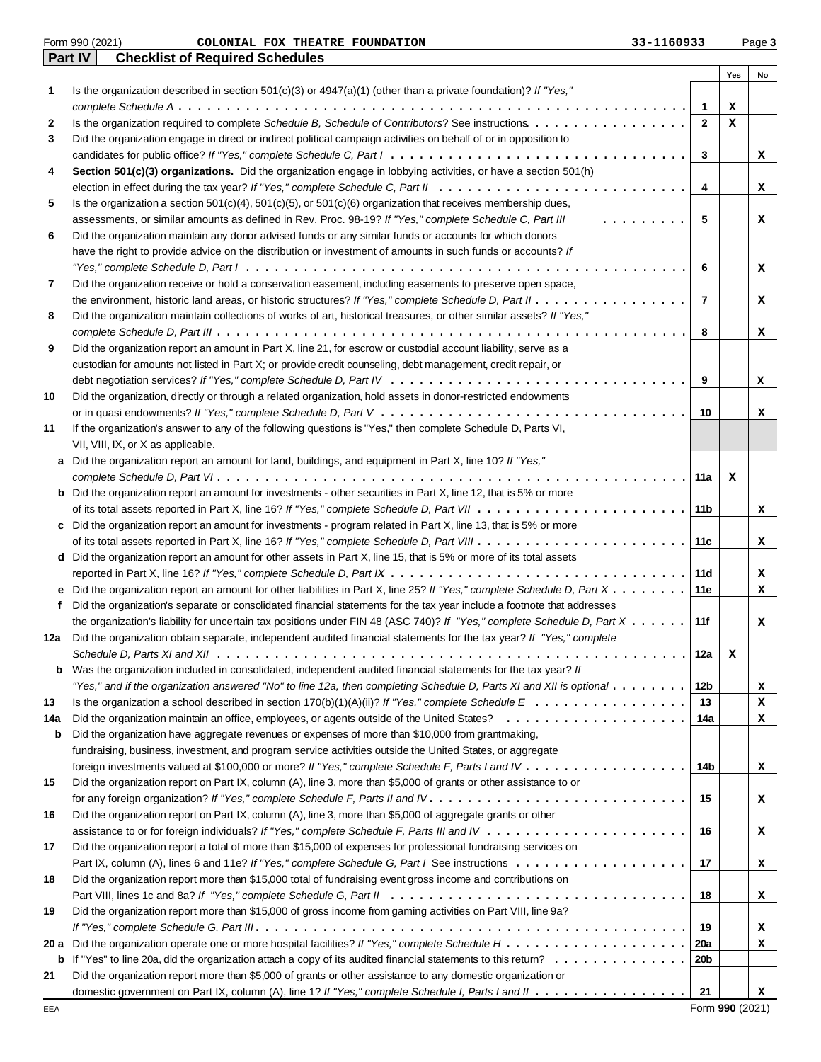|      |   | <b>Part IV</b><br><b>Checklist of Required Schedules</b>                                                                                      |                |             |    |
|------|---|-----------------------------------------------------------------------------------------------------------------------------------------------|----------------|-------------|----|
|      |   |                                                                                                                                               |                | Yes         | No |
| 1    |   | Is the organization described in section 501(c)(3) or 4947(a)(1) (other than a private foundation)? If "Yes,"                                 |                |             |    |
|      |   |                                                                                                                                               | $\mathbf{1}$   | х           |    |
| 2    |   | Is the organization required to complete Schedule B, Schedule of Contributors? See instructions                                               | $\mathbf{2}$   | х           |    |
| 3    |   | Did the organization engage in direct or indirect political campaign activities on behalf of or in opposition to                              |                |             |    |
|      |   |                                                                                                                                               | 3              |             | x  |
| 4    |   | Section 501(c)(3) organizations. Did the organization engage in lobbying activities, or have a section 501(h)                                 |                |             |    |
|      |   |                                                                                                                                               | 4              |             | x  |
| 5    |   | Is the organization a section $501(c)(4)$ , $501(c)(5)$ , or $501(c)(6)$ organization that receives membership dues,                          |                |             |    |
|      |   | assessments, or similar amounts as defined in Rev. Proc. 98-19? If "Yes," complete Schedule C, Part III<br>.                                  | 5              |             | x  |
| 6    |   | Did the organization maintain any donor advised funds or any similar funds or accounts for which donors                                       |                |             |    |
|      |   | have the right to provide advice on the distribution or investment of amounts in such funds or accounts? If                                   |                |             |    |
|      |   |                                                                                                                                               | 6              |             | x  |
| 7    |   | Did the organization receive or hold a conservation easement, including easements to preserve open space,                                     |                |             |    |
|      |   | the environment, historic land areas, or historic structures? If "Yes," complete Schedule D, Part II                                          | $\overline{7}$ |             | x  |
| 8    |   | Did the organization maintain collections of works of art, historical treasures, or other similar assets? If "Yes,"                           |                |             |    |
|      |   |                                                                                                                                               | 8              |             | x  |
| 9    |   | Did the organization report an amount in Part X, line 21, for escrow or custodial account liability, serve as a                               |                |             |    |
|      |   | custodian for amounts not listed in Part X; or provide credit counseling, debt management, credit repair, or                                  |                |             |    |
|      |   |                                                                                                                                               | 9              |             | x  |
| 10   |   | Did the organization, directly or through a related organization, hold assets in donor-restricted endowments                                  |                |             |    |
|      |   |                                                                                                                                               | 10             |             | x  |
| 11   |   | If the organization's answer to any of the following questions is "Yes," then complete Schedule D, Parts VI,                                  |                |             |    |
|      |   | VII, VIII, IX, or X as applicable.                                                                                                            |                |             |    |
|      | a | Did the organization report an amount for land, buildings, and equipment in Part X, line 10? If "Yes,"                                        |                |             |    |
|      |   |                                                                                                                                               | 11a            | х           |    |
|      | b | Did the organization report an amount for investments - other securities in Part X, line 12, that is 5% or more                               |                |             |    |
|      |   |                                                                                                                                               | 11b            |             | x  |
|      | c | Did the organization report an amount for investments - program related in Part X, line 13, that is 5% or more                                |                |             |    |
|      |   |                                                                                                                                               | 11c            |             | x  |
|      |   | d Did the organization report an amount for other assets in Part X, line 15, that is 5% or more of its total assets                           |                |             |    |
|      |   |                                                                                                                                               | 11d            |             | x  |
|      | е | Did the organization report an amount for other liabilities in Part X, line 25? If "Yes," complete Schedule D, Part X                         | 11e            |             | x  |
|      | f | Did the organization's separate or consolidated financial statements for the tax year include a footnote that addresses                       |                |             |    |
|      |   | the organization's liability for uncertain tax positions under FIN 48 (ASC 740)? If "Yes," complete Schedule D, Part $X \dots \dots$          | 11f            |             | x  |
| 12a  |   | Did the organization obtain separate, independent audited financial statements for the tax year? If "Yes," complete                           |                |             |    |
|      |   | Schedule D, Parts XI and XII $\dots\dots\dots\dots\dots\dots\dots\dots\dots\dots\dots\dots\dots\dots\dots\dots$                               | 12a            | $\mathbf x$ |    |
|      | b | Was the organization included in consolidated, independent audited financial statements for the tax year? If                                  |                |             |    |
|      |   | "Yes," and if the organization answered "No" to line 12a, then completing Schedule D, Parts XI and XII is optional $\ldots\ldots\ldots$       | 12b            |             | x  |
| 13   |   | Is the organization a school described in section 170(b)(1)(A)(ii)? If "Yes," complete Schedule $E_1, \ldots, \ldots, \ldots, \ldots, \ldots$ | 13             |             | х  |
| 14a  |   |                                                                                                                                               | 14a            |             | x  |
|      | b | Did the organization have aggregate revenues or expenses of more than \$10,000 from grantmaking,                                              |                |             |    |
|      |   | fundraising, business, investment, and program service activities outside the United States, or aggregate                                     |                |             |    |
|      |   |                                                                                                                                               | 14b            |             | x  |
| 15   |   | Did the organization report on Part IX, column (A), line 3, more than \$5,000 of grants or other assistance to or                             |                |             |    |
|      |   |                                                                                                                                               | 15             |             | x  |
| 16   |   | Did the organization report on Part IX, column (A), line 3, more than \$5,000 of aggregate grants or other                                    |                |             |    |
|      |   |                                                                                                                                               | 16             |             | x  |
| 17   |   | Did the organization report a total of more than \$15,000 of expenses for professional fundraising services on                                |                |             |    |
|      |   |                                                                                                                                               | 17             |             | x  |
| 18   |   | Did the organization report more than \$15,000 total of fundraising event gross income and contributions on                                   |                |             |    |
|      |   |                                                                                                                                               | 18             |             | x  |
| 19   |   | Did the organization report more than \$15,000 of gross income from gaming activities on Part VIII, line 9a?                                  |                |             |    |
|      |   |                                                                                                                                               | 19             |             | x  |
| 20 a |   |                                                                                                                                               | 20a            |             | x  |
|      | b | If "Yes" to line 20a, did the organization attach a copy of its audited financial statements to this retum?                                   | 20b            |             |    |
| 21   |   | Did the organization report more than \$5,000 of grants or other assistance to any domestic organization or                                   |                |             |    |
|      |   | domestic government on Part IX, column (A), line 1? If "Yes," complete Schedule I, Parts I and II                                             | 21             |             | x  |
|      |   |                                                                                                                                               |                |             |    |

**COLONIAL FOX THEATRE FOUNDATION 33-1160933**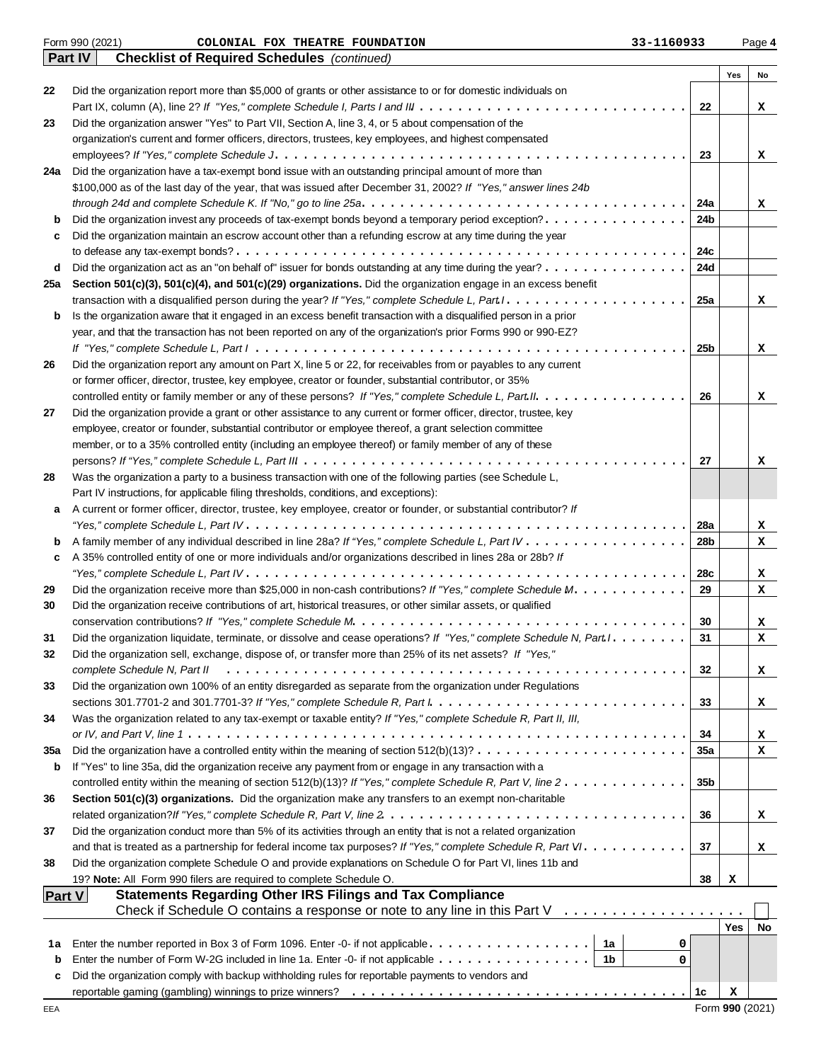|               | Form 990 (2021)<br>33-1160933<br>COLONIAL FOX THEATRE FOUNDATION                                                                           |                 |            | Page 4 |
|---------------|--------------------------------------------------------------------------------------------------------------------------------------------|-----------------|------------|--------|
|               | <b>Checklist of Required Schedules</b> (continued)<br><b>Part IV</b>                                                                       |                 |            |        |
|               |                                                                                                                                            |                 | Yes        | No     |
| 22            | Did the organization report more than \$5,000 of grants or other assistance to or for domestic individuals on                              |                 |            |        |
|               |                                                                                                                                            | 22              |            | x      |
| 23            | Did the organization answer "Yes" to Part VII, Section A, line 3, 4, or 5 about compensation of the                                        |                 |            |        |
|               | organization's current and former officers, directors, trustees, key employees, and highest compensated                                    |                 |            |        |
|               | Did the organization have a tax-exempt bond issue with an outstanding principal amount of more than                                        | 23              |            | x      |
| 24a           | \$100,000 as of the last day of the year, that was issued after December 31, 2002? If "Yes," answer lines 24b                              |                 |            |        |
|               |                                                                                                                                            | 24a             |            |        |
| b             | Did the organization invest any proceeds of tax-exempt bonds beyond a temporary period exception?                                          | 24b             |            | x      |
| c             | Did the organization maintain an escrow account other than a refunding escrow at any time during the year                                  |                 |            |        |
|               |                                                                                                                                            | 24c             |            |        |
| d             | Did the organization act as an "on behalf of" issuer for bonds outstanding at any time during the year?                                    | 24d             |            |        |
| 25a           | Section 501(c)(3), 501(c)(4), and 501(c)(29) organizations. Did the organization engage in an excess benefit                               |                 |            |        |
|               |                                                                                                                                            | 25a             |            | x      |
| b             | Is the organization aware that it engaged in an excess benefit transaction with a disqualified person in a prior                           |                 |            |        |
|               | year, and that the transaction has not been reported on any of the organization's prior Forms 990 or 990-EZ?                               |                 |            |        |
|               |                                                                                                                                            | 25b             |            | x      |
| 26            | Did the organization report any amount on Part X, line 5 or 22, for receivables from or payables to any current                            |                 |            |        |
|               | or former officer, director, trustee, key employee, creator or founder, substantial contributor, or 35%                                    |                 |            |        |
|               | controlled entity or family member or any of these persons? If "Yes," complete Schedule L, Part II.                                        | 26              |            | x      |
| 27            | Did the organization provide a grant or other assistance to any current or former officer, director, trustee, key                          |                 |            |        |
|               | employee, creator or founder, substantial contributor or employee thereof, a grant selection committee                                     |                 |            |        |
|               | member, or to a 35% controlled entity (including an employee thereof) or family member of any of these                                     |                 |            |        |
|               |                                                                                                                                            | 27              |            | x      |
| 28            | Was the organization a party to a business transaction with one of the following parties (see Schedule L,                                  |                 |            |        |
|               | Part IV instructions, for applicable filing thresholds, conditions, and exceptions):                                                       |                 |            |        |
| а             | A current or former officer, director, trustee, key employee, creator or founder, or substantial contributor? If                           |                 |            |        |
|               |                                                                                                                                            | 28a             |            | x      |
| b             |                                                                                                                                            | 28b             |            | x      |
| c             | A 35% controlled entity of one or more individuals and/or organizations described in lines 28a or 28b? If                                  |                 |            |        |
|               |                                                                                                                                            | 28c             |            | x      |
| 29            | Did the organization receive more than \$25,000 in non-cash contributions? If "Yes," complete Schedule M.                                  | 29              |            | x      |
| 30            | Did the organization receive contributions of art, historical treasures, or other similar assets, or qualified                             |                 |            |        |
|               |                                                                                                                                            | 30              |            | x      |
| 31            | Did the organization liquidate, terminate, or dissolve and cease operations? If "Yes," complete Schedule N, Part I. .                      | 31              |            | x      |
| 32            | Did the organization sell, exchange, dispose of, or transfer more than 25% of its net assets? If "Yes,"                                    |                 |            |        |
|               | complete Schedule N, Part II                                                                                                               | 32              |            | x      |
| 33            | Did the organization own 100% of an entity disregarded as separate from the organization under Regulations                                 |                 |            |        |
|               |                                                                                                                                            | 33              |            | x      |
| 34            | Was the organization related to any tax-exempt or taxable entity? If "Yes," complete Schedule R, Part II, III,                             |                 |            |        |
|               |                                                                                                                                            | 34              |            | x      |
| 35a           | Did the organization have a controlled entity within the meaning of section $512(b)(13)? \ldots \ldots \ldots \ldots \ldots \ldots \ldots$ | 35a             |            | x      |
| b             | If "Yes" to line 35a, did the organization receive any payment from or engage in any transaction with a                                    |                 |            |        |
|               | controlled entity within the meaning of section 512(b)(13)? If "Yes," complete Schedule R, Part V, line $2 \ldots \ldots \ldots \ldots$    | 35 <sub>b</sub> |            |        |
| 36            | Section 501(c)(3) organizations. Did the organization make any transfers to an exempt non-charitable                                       |                 |            |        |
|               |                                                                                                                                            | 36              |            | x      |
| 37            | Did the organization conduct more than 5% of its activities through an entity that is not a related organization                           |                 |            |        |
|               |                                                                                                                                            | 37              |            | x      |
| 38            | Did the organization complete Schedule O and provide explanations on Schedule O for Part VI, lines 11b and                                 |                 |            |        |
|               | 19? Note: All Form 990 filers are required to complete Schedule O.                                                                         | 38              | х          |        |
| <b>Part V</b> | <b>Statements Regarding Other IRS Filings and Tax Compliance</b>                                                                           |                 |            |        |
|               | Check if Schedule O contains a response or note to any line in this Part V $\ldots \ldots \ldots \ldots \ldots$                            |                 |            |        |
|               |                                                                                                                                            |                 | <b>Yes</b> | No     |
| 1a            | 0                                                                                                                                          |                 |            |        |
| b             | Enter the number of Form W-2G included in line 1a. Enter -0- if not applicable $\dots \dots \dots \dots \dots$<br>0                        |                 |            |        |
| c             | Did the organization comply with backup withholding rules for reportable payments to vendors and                                           |                 |            |        |
|               |                                                                                                                                            | 1с              | x          |        |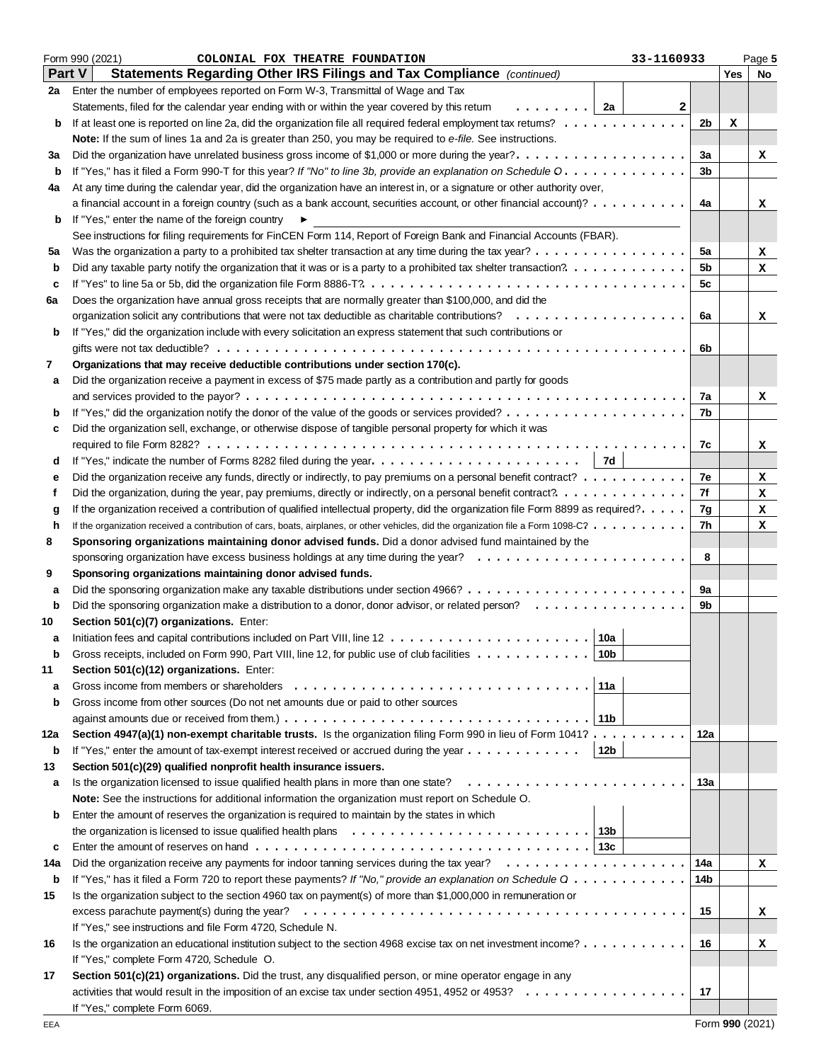|        | Form 990 (2021)<br>COLONIAL FOX THEATRE FOUNDATION<br>33-1160933                                                                   |                |     | Page 5 |
|--------|------------------------------------------------------------------------------------------------------------------------------------|----------------|-----|--------|
| Part V | Statements Regarding Other IRS Filings and Tax Compliance (continued)                                                              |                | Yes | No     |
| 2a     | Enter the number of employees reported on Form W-3, Transmittal of Wage and Tax                                                    |                |     |        |
|        | Statements, filed for the calendar year ending with or within the year covered by this retum<br>.   2a                             | 2              |     |        |
| b      |                                                                                                                                    | 2b             | x   |        |
|        | Note: If the sum of lines 1a and 2a is greater than 250, you may be required to e-file. See instructions.                          |                |     |        |
| За     | Did the organization have unrelated business gross income of \$1,000 or more during the year?.                                     | 3a             |     | x      |
| b      | If "Yes," has it filed a Form 990-T for this year? If "No" to line 3b, provide an explanation on Schedule O.                       | 3 <sub>b</sub> |     |        |
| 4a     | At any time during the calendar year, did the organization have an interest in, or a signature or other authority over,            |                |     |        |
|        | a financial account in a foreign country (such as a bank account, securities account, or other financial account)?                 | 4a             |     | x      |
|        | If "Yes," enter the name of the foreign country                                                                                    |                |     |        |
| b      | ▶                                                                                                                                  |                |     |        |
|        | See instructions for filing requirements for FinCEN Form 114, Report of Foreign Bank and Financial Accounts (FBAR).                |                |     |        |
| 5a     | Was the organization a party to a prohibited tax shelter transaction at any time during the tax year?                              | 5a             |     | x      |
| b      |                                                                                                                                    | 5b             |     | x      |
| c      |                                                                                                                                    | 5c             |     |        |
| 6а     | Does the organization have annual gross receipts that are normally greater than \$100,000, and did the                             |                |     |        |
|        |                                                                                                                                    | 6a             |     | x      |
| b      | If "Yes," did the organization include with every solicitation an express statement that such contributions or                     |                |     |        |
|        |                                                                                                                                    | 6b             |     |        |
| 7      | Organizations that may receive deductible contributions under section 170(c).                                                      |                |     |        |
| а      | Did the organization receive a payment in excess of \$75 made partly as a contribution and partly for goods                        |                |     |        |
|        |                                                                                                                                    | 7a             |     | x      |
| b      |                                                                                                                                    | 7b             |     |        |
| c      | Did the organization sell, exchange, or otherwise dispose of tangible personal property for which it was                           |                |     |        |
|        |                                                                                                                                    | 7с             |     | x      |
| d      | 7d                                                                                                                                 |                |     |        |
| е      | Did the organization receive any funds, directly or indirectly, to pay premiums on a personal benefit contract?                    | 7e             |     | x      |
| f      |                                                                                                                                    | 7f             |     | x      |
|        | If the organization received a contribution of qualified intellectual property, did the organization file Form 8899 as required?.  | 7g             |     | x      |
| g<br>h | If the organization received a contribution of cars, boats, airplanes, or other vehicles, did the organization file a Form 1098-C? | 7h             |     | x      |
|        |                                                                                                                                    |                |     |        |
| 8      | Sponsoring organizations maintaining donor advised funds. Did a donor advised fund maintained by the                               |                |     |        |
|        |                                                                                                                                    | 8              |     |        |
| 9      | Sponsoring organizations maintaining donor advised funds.                                                                          |                |     |        |
| а      |                                                                                                                                    | 9a             |     |        |
| b      | Did the sponsoring organization make a distribution to a donor, donor advisor, or related person?                                  | 9b             |     |        |
| 10     | Section 501(c)(7) organizations. Enter:                                                                                            |                |     |        |
| а      | 10a                                                                                                                                |                |     |        |
|        | 10 <sub>b</sub><br>Gross receipts, included on Form 990, Part VIII, line 12, for public use of club facilities                     |                |     |        |
| 11     | Section 501(c)(12) organizations. Enter:                                                                                           |                |     |        |
| a      | Gross income from members or shareholders<br>11a                                                                                   |                |     |        |
| b      | Gross income from other sources (Do not net amounts due or paid to other sources                                                   |                |     |        |
|        | ∣ 11b                                                                                                                              |                |     |        |
| 12a    | Section 4947(a)(1) non-exempt charitable trusts. Is the organization filing Form 990 in lieu of Form 1041?                         | 12a            |     |        |
| b      | If "Yes," enter the amount of tax-exempt interest received or accrued during the year $\dots \dots \dots \dots$<br>12b             |                |     |        |
| 13     | Section 501(c)(29) qualified nonprofit health insurance issuers.                                                                   |                |     |        |
| а      | Is the organization licensed to issue qualified health plans in more than one state?                                               | 13а            |     |        |
|        | Note: See the instructions for additional information the organization must report on Schedule O.                                  |                |     |        |
| b      | Enter the amount of reserves the organization is required to maintain by the states in which                                       |                |     |        |
|        |                                                                                                                                    |                |     |        |
| c      |                                                                                                                                    |                |     |        |
| 14a    |                                                                                                                                    | 14a            |     | x      |
|        |                                                                                                                                    |                |     |        |
| b      | If "Yes," has it filed a Form 720 to report these payments? If "No," provide an explanation on Schedule Q                          | 14b            |     |        |
| 15     | Is the organization subject to the section 4960 tax on payment(s) of more than \$1,000,000 in remuneration or                      |                |     |        |
|        |                                                                                                                                    | 15             |     | x      |
|        | If "Yes," see instructions and file Form 4720, Schedule N.                                                                         |                |     |        |
| 16     | Is the organization an educational institution subject to the section 4968 excise tax on net investment income?                    | 16             |     | x      |
|        | If "Yes," complete Form 4720, Schedule O.                                                                                          |                |     |        |
| 17     | Section 501(c)(21) organizations. Did the trust, any disqualified person, or mine operator engage in any                           |                |     |        |
|        | activities that would result in the imposition of an excise tax under section 4951, 4952 or 4953?                                  | 17             |     |        |
|        | If "Yes," complete Form 6069.                                                                                                      |                |     |        |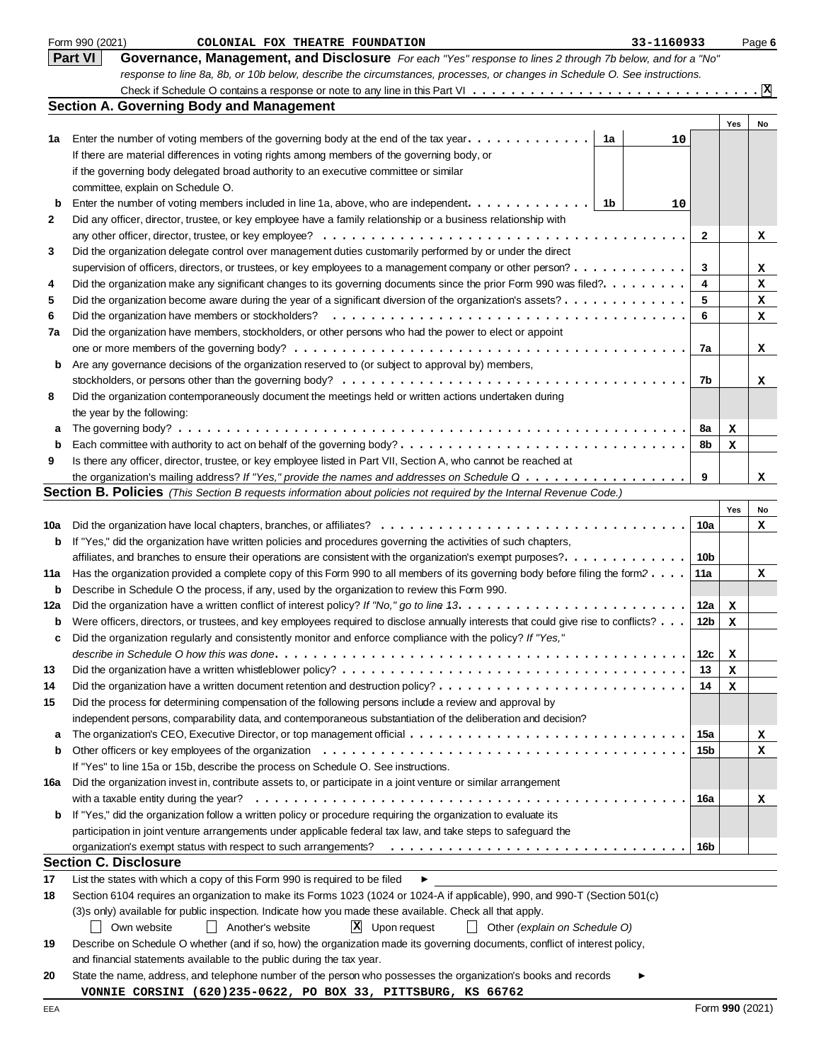|     | Form 990 (2021)<br>33-1160933<br>COLONIAL FOX THEATRE FOUNDATION                                                                            |              |     | Page 6                          |
|-----|---------------------------------------------------------------------------------------------------------------------------------------------|--------------|-----|---------------------------------|
|     | <b>Part VI</b><br>Governance, Management, and Disclosure For each "Yes" response to lines 2 through 7b below, and for a "No"                |              |     |                                 |
|     | response to line 8a, 8b, or 10b below, describe the circumstances, processes, or changes in Schedule O. See instructions.                   |              |     |                                 |
|     |                                                                                                                                             |              |     | $\cdot$ $\overline{\mathbf{x}}$ |
|     | <b>Section A. Governing Body and Management</b>                                                                                             |              |     |                                 |
|     |                                                                                                                                             |              | Yes | No                              |
| 1a  | Enter the number of voting members of the governing body at the end of the tax year. $\dots \dots \dots \dots$<br>1a<br>10                  |              |     |                                 |
|     | If there are material differences in voting rights among members of the governing body, or                                                  |              |     |                                 |
|     | if the governing body delegated broad authority to an executive committee or similar                                                        |              |     |                                 |
|     | committee, explain on Schedule O.                                                                                                           |              |     |                                 |
| b   | Enter the number of voting members included in line 1a, above, who are independent.<br>- 1b<br>10                                           |              |     |                                 |
| 2   | Did any officer, director, trustee, or key employee have a family relationship or a business relationship with                              |              |     |                                 |
|     |                                                                                                                                             | $\mathbf{2}$ |     | x                               |
| 3   | Did the organization delegate control over management duties customarily performed by or under the direct                                   |              |     |                                 |
|     | supervision of officers, directors, or trustees, or key employees to a management company or other person?                                  | 3            |     | x                               |
| 4   | Did the organization make any significant changes to its governing documents since the prior Form 990 was filed?.                           | 4            |     | x                               |
| 5   | Did the organization become aware during the year of a significant diversion of the organization's assets? $\dots \dots \dots \dots$        | 5            |     | x                               |
| 6   |                                                                                                                                             | 6            |     | x                               |
| 7a  | Did the organization have members, stockholders, or other persons who had the power to elect or appoint                                     |              |     |                                 |
|     |                                                                                                                                             | 7a           |     |                                 |
|     | Are any governance decisions of the organization reserved to (or subject to approval by) members,                                           |              |     | x                               |
| b   |                                                                                                                                             | 7b           |     |                                 |
|     |                                                                                                                                             |              |     | x                               |
| 8   | Did the organization contemporaneously document the meetings held or written actions undertaken during                                      |              |     |                                 |
|     | the year by the following:                                                                                                                  |              |     |                                 |
| а   |                                                                                                                                             | 8a           | x   |                                 |
| b   |                                                                                                                                             | 8b           | x   |                                 |
| 9   | Is there any officer, director, trustee, or key employee listed in Part VII, Section A, who cannot be reached at                            |              |     |                                 |
|     | the organization's mailing address? If "Yes," provide the names and addresses on Schedule $0, \ldots, \ldots, \ldots, \ldots, \ldots$       | 9            |     | x                               |
|     | Section B. Policies (This Section B requests information about policies not required by the Internal Revenue Code.)                         |              |     |                                 |
|     |                                                                                                                                             |              | Yes | No                              |
| 10a |                                                                                                                                             | 10a          |     | x                               |
| b   | If "Yes," did the organization have written policies and procedures governing the activities of such chapters,                              |              |     |                                 |
|     | affiliates, and branches to ensure their operations are consistent with the organization's exempt purposes?.                                | 10b          |     |                                 |
| 11a | Has the organization provided a complete copy of this Form 990 to all members of its governing body before filing the form?                 | 11a          |     | x                               |
| b   | Describe in Schedule O the process, if any, used by the organization to review this Form 990.                                               |              |     |                                 |
| 12a |                                                                                                                                             | 12a          | x   |                                 |
| b   | Were officers, directors, or trustees, and key employees required to disclose annually interests that could give rise to conflicts?         | 12b          | x   |                                 |
|     | Did the organization regularly and consistently monitor and enforce compliance with the policy? If "Yes,"                                   |              |     |                                 |
|     | describe in Schedule O how this was done. $\dots\dots\dots\dots\dots\dots\dots\dots\dots\dots\dots\dots\dots\dots\dots\dots\dots\dots\dots$ | 12c          | х   |                                 |
| 13  |                                                                                                                                             | 13           | х   |                                 |
| 14  |                                                                                                                                             | 14           | x   |                                 |
| 15  | Did the process for determining compensation of the following persons include a review and approval by                                      |              |     |                                 |
|     | independent persons, comparability data, and contemporaneous substantiation of the deliberation and decision?                               |              |     |                                 |
| а   |                                                                                                                                             | 15a          |     | x                               |
| b   |                                                                                                                                             | 15b          |     | x                               |
|     | If "Yes" to line 15a or 15b, describe the process on Schedule O. See instructions.                                                          |              |     |                                 |
| 16a | Did the organization invest in, contribute assets to, or participate in a joint venture or similar arrangement                              |              |     |                                 |
|     |                                                                                                                                             | 16a          |     | x                               |
| b   | If "Yes," did the organization follow a written policy or procedure requiring the organization to evaluate its                              |              |     |                                 |
|     | participation in joint venture arrangements under applicable federal tax law, and take steps to safeguard the                               |              |     |                                 |
|     |                                                                                                                                             | 16b          |     |                                 |
|     | Section C. Disclosure                                                                                                                       |              |     |                                 |
| 17  | List the states with which a copy of this Form 990 is required to be filed<br>▶                                                             |              |     |                                 |
| 18  | Section 6104 requires an organization to make its Forms 1023 (1024 or 1024-A if applicable), 990, and 990-T (Section 501(c)                 |              |     |                                 |
|     | (3)s only) available for public inspection. Indicate how you made these available. Check all that apply.                                    |              |     |                                 |
|     | $X$ Upon request<br>Own website<br>    Another's website<br>$\Box$ Other (explain on Schedule O)                                            |              |     |                                 |
| 19  | Describe on Schedule O whether (and if so, how) the organization made its governing documents, conflict of interest policy,                 |              |     |                                 |
|     | and financial statements available to the public during the tax year.                                                                       |              |     |                                 |
|     |                                                                                                                                             |              |     |                                 |
| 20  | State the name, address, and telephone number of the person who possesses the organization's books and records                              |              |     |                                 |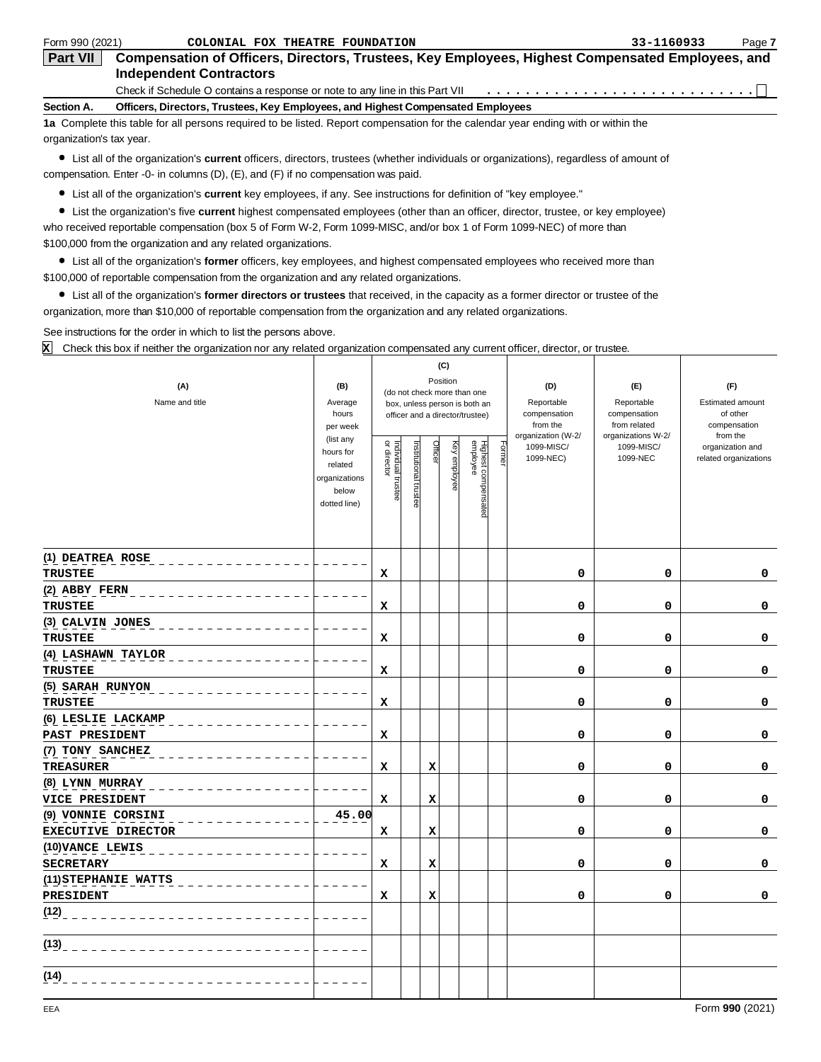| Form 990 (2021)          | COLONIAL FOX THEATRE FOUNDATION                                                                                                                                 | 33-1160933 | Page 7 |
|--------------------------|-----------------------------------------------------------------------------------------------------------------------------------------------------------------|------------|--------|
| <b>Part VII</b>          | Compensation of Officers, Directors, Trustees, Key Employees, Highest Compensated Employees, and<br><b>Independent Contractors</b>                              |            |        |
| Section A.               | Check if Schedule O contains a response or note to any line in this Part VII<br>Officers, Directors, Trustees, Key Employees, and Highest Compensated Employees |            |        |
| organization's tax year. | 1a Complete this table for all persons required to be listed. Report compensation for the calendar year ending with or within the                               |            |        |

List all of the organization's **current** officers, directors, trustees (whether individuals or organizations), regardless of amount of compensation. Enter -0- in columns (D), (E), and (F) if no compensation was paid.

List all of the organization's **current** key employees, if any. See instructions for definition of "key employee."

List the organization's five **current** highest compensated employees (other than an officer, director, trustee, or key employee) who received reportable compensation (box 5 of Form W-2, Form 1099-MISC, and/or box 1 of Form 1099-NEC) of more than

\$100,000 from the organization and any related organizations.

List all of the organization's **former** officers, key employees, and highest compensated employees who received more than \$100,000 of reportable compensation from the organization and any related organizations.

List all of the organization's **former directors or trustees** that received, in the capacity as a former director or trustee of the organization, more than \$10,000 of reportable compensation from the organization and any related organizations.

Т

See instructions for the order in which to list the persons above.

Check this box if neither the organization nor any related organization compensated any current officer, director, or trustee. **X**

|                           |                        |                                                              |                       |             | (C)          |                                 |        |                                |                                    |                          |
|---------------------------|------------------------|--------------------------------------------------------------|-----------------------|-------------|--------------|---------------------------------|--------|--------------------------------|------------------------------------|--------------------------|
| (A)                       | (B)                    | Position                                                     |                       |             |              |                                 |        | (D)                            | (E)                                | (F)                      |
| Name and title            | Average                | (do not check more than one<br>box, unless person is both an |                       |             |              |                                 |        | Reportable                     | Reportable                         | Estimated amount         |
|                           | hours                  |                                                              |                       |             |              | officer and a director/trustee) |        | compensation                   | compensation                       | of other                 |
|                           | per week               |                                                              |                       |             |              |                                 |        | from the<br>organization (W-2/ | from related<br>organizations W-2/ | compensation<br>from the |
|                           | (list any<br>hours for |                                                              |                       | Officer     |              |                                 | Former | 1099-MISC/                     | 1099-MISC/                         | organization and         |
|                           | related                |                                                              |                       |             |              |                                 |        | 1099-NEC)                      | 1099-NEC                           | related organizations    |
|                           | organizations          | Individual trustee<br>or director                            | Institutional trustee |             | Key employee |                                 |        |                                |                                    |                          |
|                           | below                  |                                                              |                       |             |              |                                 |        |                                |                                    |                          |
|                           | dotted line)           |                                                              |                       |             |              | Highest compensated<br>employee |        |                                |                                    |                          |
|                           |                        |                                                              |                       |             |              |                                 |        |                                |                                    |                          |
|                           |                        |                                                              |                       |             |              |                                 |        |                                |                                    |                          |
| (1) DEATREA ROSE          |                        |                                                              |                       |             |              |                                 |        |                                |                                    |                          |
| <b>TRUSTEE</b>            |                        | x                                                            |                       |             |              |                                 |        | 0                              | 0                                  | 0                        |
| (2) ABBY FERN             |                        |                                                              |                       |             |              |                                 |        |                                |                                    |                          |
| <b>TRUSTEE</b>            |                        | x                                                            |                       |             |              |                                 |        | 0                              | 0                                  | 0                        |
| (3) CALVIN JONES          |                        |                                                              |                       |             |              |                                 |        |                                |                                    |                          |
| <b>TRUSTEE</b>            |                        | x                                                            |                       |             |              |                                 |        | 0                              | 0                                  | 0                        |
| (4) LASHAWN TAYLOR        |                        |                                                              |                       |             |              |                                 |        |                                |                                    |                          |
| <b>TRUSTEE</b>            |                        | X                                                            |                       |             |              |                                 |        | 0                              | 0                                  | 0                        |
| (5) SARAH RUNYON          |                        |                                                              |                       |             |              |                                 |        |                                |                                    |                          |
| <b>TRUSTEE</b>            |                        | X                                                            |                       |             |              |                                 |        | 0                              | 0                                  | 0                        |
| (6) LESLIE LACKAMP        |                        |                                                              |                       |             |              |                                 |        |                                |                                    |                          |
| PAST PRESIDENT            |                        | X                                                            |                       |             |              |                                 |        | 0                              | 0                                  | 0                        |
| (7) TONY SANCHEZ          |                        |                                                              |                       |             |              |                                 |        |                                |                                    |                          |
| <b>TREASURER</b>          |                        | x                                                            |                       | X           |              |                                 |        | 0                              | 0                                  | 0                        |
| (8) LYNN MURRAY           |                        |                                                              |                       |             |              |                                 |        |                                |                                    |                          |
| VICE PRESIDENT            |                        | $\mathbf x$                                                  |                       | $\mathbf x$ |              |                                 |        | 0                              | $\mathbf 0$                        | $\mathbf 0$              |
| (9) VONNIE CORSINI        | 45.00                  |                                                              |                       |             |              |                                 |        |                                |                                    |                          |
| <b>EXECUTIVE DIRECTOR</b> |                        | X                                                            |                       | X           |              |                                 |        | $\mathbf 0$                    | 0                                  | 0                        |
| (10) VANCE LEWIS          |                        |                                                              |                       |             |              |                                 |        |                                |                                    |                          |
| <b>SECRETARY</b>          |                        | $\mathbf x$                                                  |                       | x           |              |                                 |        | $\mathbf 0$                    | $\mathbf 0$                        | $\mathbf 0$              |
| (11) STEPHANIE WATTS      |                        |                                                              |                       |             |              |                                 |        |                                |                                    |                          |
| PRESIDENT                 |                        | x                                                            |                       | X           |              |                                 |        | 0                              | 0                                  | 0                        |
| (12)                      |                        |                                                              |                       |             |              |                                 |        |                                |                                    |                          |
|                           |                        |                                                              |                       |             |              |                                 |        |                                |                                    |                          |
| (13)                      |                        |                                                              |                       |             |              |                                 |        |                                |                                    |                          |
|                           |                        |                                                              |                       |             |              |                                 |        |                                |                                    |                          |
| (14)                      |                        |                                                              |                       |             |              |                                 |        |                                |                                    |                          |
|                           |                        |                                                              |                       |             |              |                                 |        |                                |                                    |                          |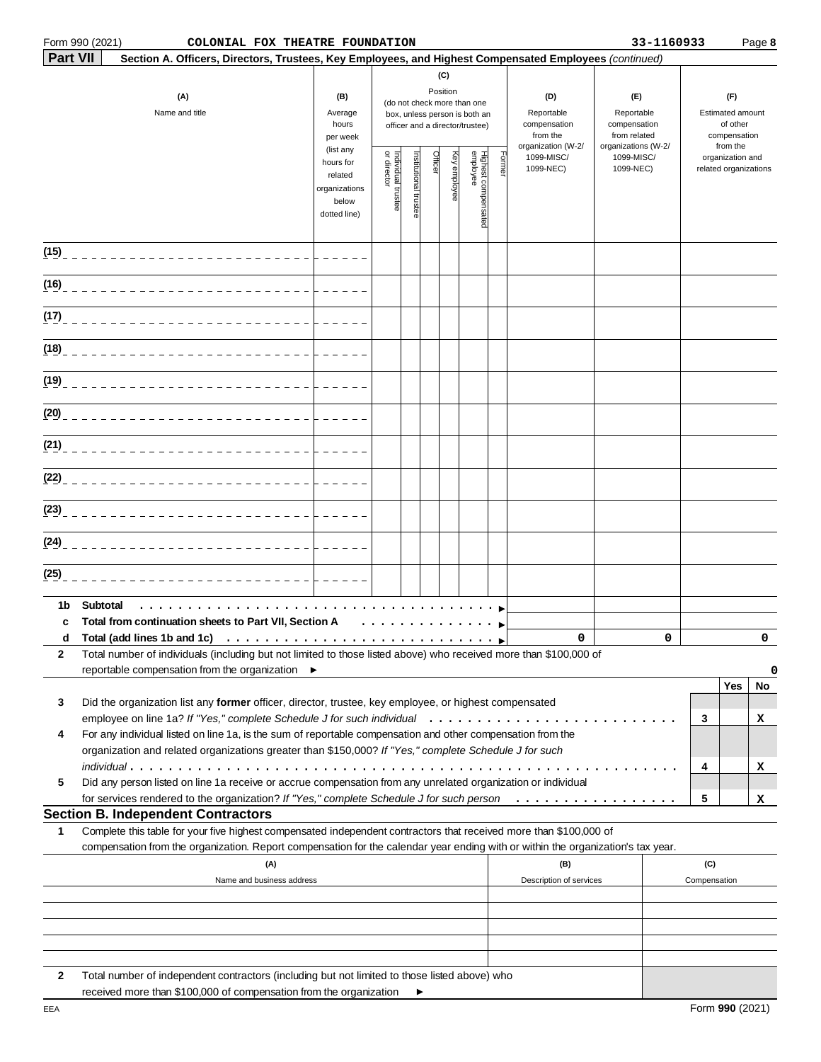### Form 990 (2021) **COLONIAL FOX THEATRE FOUNDATION 133-1160933** Page **8**

|        |                                                                                                                                                                                                                      |                                                  |                                   |                       |          | (C)          |                                                                                                 |                                                                     |                         |                                                                          |                                                                 |                                           |             |
|--------|----------------------------------------------------------------------------------------------------------------------------------------------------------------------------------------------------------------------|--------------------------------------------------|-----------------------------------|-----------------------|----------|--------------|-------------------------------------------------------------------------------------------------|---------------------------------------------------------------------|-------------------------|--------------------------------------------------------------------------|-----------------------------------------------------------------|-------------------------------------------|-------------|
|        | (A)<br>Name and title                                                                                                                                                                                                | (B)<br>Average<br>hours<br>per week<br>(list any |                                   |                       | Position |              | (do not check more than one<br>box, unless person is both an<br>officer and a director/trustee) | (D)<br>Reportable<br>compensation<br>from the<br>organization (W-2/ |                         | (E)<br>Reportable<br>compensation<br>from related<br>organizations (W-2/ | (F)<br>Estimated amount<br>of other<br>compensation<br>from the |                                           |             |
|        |                                                                                                                                                                                                                      |                                                  | Individual trustee<br>or director | Institutional trustee | Officer  | Key employee | Highest compensated<br>employee                                                                 | Forme                                                               | 1099-MISC/<br>1099-NEC) | 1099-MISC/<br>1099-NEC)                                                  |                                                                 | organization and<br>related organizations |             |
| (15)   | ___________________________                                                                                                                                                                                          |                                                  |                                   |                       |          |              |                                                                                                 |                                                                     |                         |                                                                          |                                                                 |                                           |             |
| (16)   |                                                                                                                                                                                                                      |                                                  |                                   |                       |          |              |                                                                                                 |                                                                     |                         |                                                                          |                                                                 |                                           |             |
| (17)   |                                                                                                                                                                                                                      |                                                  |                                   |                       |          |              |                                                                                                 |                                                                     |                         |                                                                          |                                                                 |                                           |             |
| (18)   |                                                                                                                                                                                                                      |                                                  |                                   |                       |          |              |                                                                                                 |                                                                     |                         |                                                                          |                                                                 |                                           |             |
| (19)   |                                                                                                                                                                                                                      |                                                  |                                   |                       |          |              |                                                                                                 |                                                                     |                         |                                                                          |                                                                 |                                           |             |
| (20)   |                                                                                                                                                                                                                      |                                                  |                                   |                       |          |              |                                                                                                 |                                                                     |                         |                                                                          |                                                                 |                                           |             |
| (21)   |                                                                                                                                                                                                                      |                                                  |                                   |                       |          |              |                                                                                                 |                                                                     |                         |                                                                          |                                                                 |                                           |             |
| (22)   |                                                                                                                                                                                                                      |                                                  |                                   |                       |          |              |                                                                                                 |                                                                     |                         |                                                                          |                                                                 |                                           |             |
| (23)   |                                                                                                                                                                                                                      |                                                  |                                   |                       |          |              |                                                                                                 |                                                                     |                         |                                                                          |                                                                 |                                           |             |
| (24)   |                                                                                                                                                                                                                      |                                                  |                                   |                       |          |              |                                                                                                 |                                                                     |                         |                                                                          |                                                                 |                                           |             |
| (25)   |                                                                                                                                                                                                                      |                                                  |                                   |                       |          |              |                                                                                                 |                                                                     |                         |                                                                          |                                                                 |                                           |             |
| 1b     | Subtotal                                                                                                                                                                                                             |                                                  |                                   |                       |          |              |                                                                                                 |                                                                     |                         |                                                                          |                                                                 |                                           |             |
| c<br>d | Total from continuation sheets to Part VII, Section A                                                                                                                                                                |                                                  | .                                 |                       |          |              |                                                                                                 |                                                                     | 0                       | 0                                                                        |                                                                 |                                           | $\mathbf 0$ |
| 2      | Total number of individuals (including but not limited to those listed above) who received more than \$100,000 of<br>reportable compensation from the organization ▶                                                 |                                                  |                                   |                       |          |              |                                                                                                 |                                                                     |                         |                                                                          |                                                                 | Yes                                       | 0<br>No     |
| 3      | Did the organization list any former officer, director, trustee, key employee, or highest compensated                                                                                                                |                                                  |                                   |                       |          |              |                                                                                                 |                                                                     |                         |                                                                          | 3                                                               |                                           | x           |
| 4      | For any individual listed on line 1a, is the sum of reportable compensation and other compensation from the<br>organization and related organizations greater than \$150,000? If "Yes," complete Schedule J for such |                                                  |                                   |                       |          |              |                                                                                                 |                                                                     |                         |                                                                          |                                                                 |                                           |             |
| 5      | Did any person listed on line 1a receive or accrue compensation from any unrelated organization or individual                                                                                                        |                                                  |                                   |                       |          |              |                                                                                                 |                                                                     |                         |                                                                          | 4<br>5                                                          |                                           | x           |
|        | <b>Section B. Independent Contractors</b>                                                                                                                                                                            |                                                  |                                   |                       |          |              |                                                                                                 |                                                                     |                         |                                                                          |                                                                 |                                           | x           |
| 1      | Complete this table for your five highest compensated independent contractors that received more than \$100,000 of                                                                                                   |                                                  |                                   |                       |          |              |                                                                                                 |                                                                     |                         |                                                                          |                                                                 |                                           |             |
|        | compensation from the organization. Report compensation for the calendar year ending with or within the organization's tax year.<br>(A)                                                                              |                                                  |                                   |                       |          |              |                                                                                                 |                                                                     | (B)                     |                                                                          | (C)                                                             |                                           |             |
|        | Name and business address                                                                                                                                                                                            |                                                  |                                   |                       |          |              |                                                                                                 |                                                                     | Description of services |                                                                          | Compensation                                                    |                                           |             |
|        |                                                                                                                                                                                                                      |                                                  |                                   |                       |          |              |                                                                                                 |                                                                     |                         |                                                                          |                                                                 |                                           |             |
|        |                                                                                                                                                                                                                      |                                                  |                                   |                       |          |              |                                                                                                 |                                                                     |                         |                                                                          |                                                                 |                                           |             |
| 2      | Total number of independent contractors (including but not limited to those listed above) who                                                                                                                        |                                                  |                                   |                       |          |              |                                                                                                 |                                                                     |                         |                                                                          |                                                                 |                                           |             |

 $\blacktriangleright$ 

Form **990** (2021)

received more than \$100,000 of compensation from the organization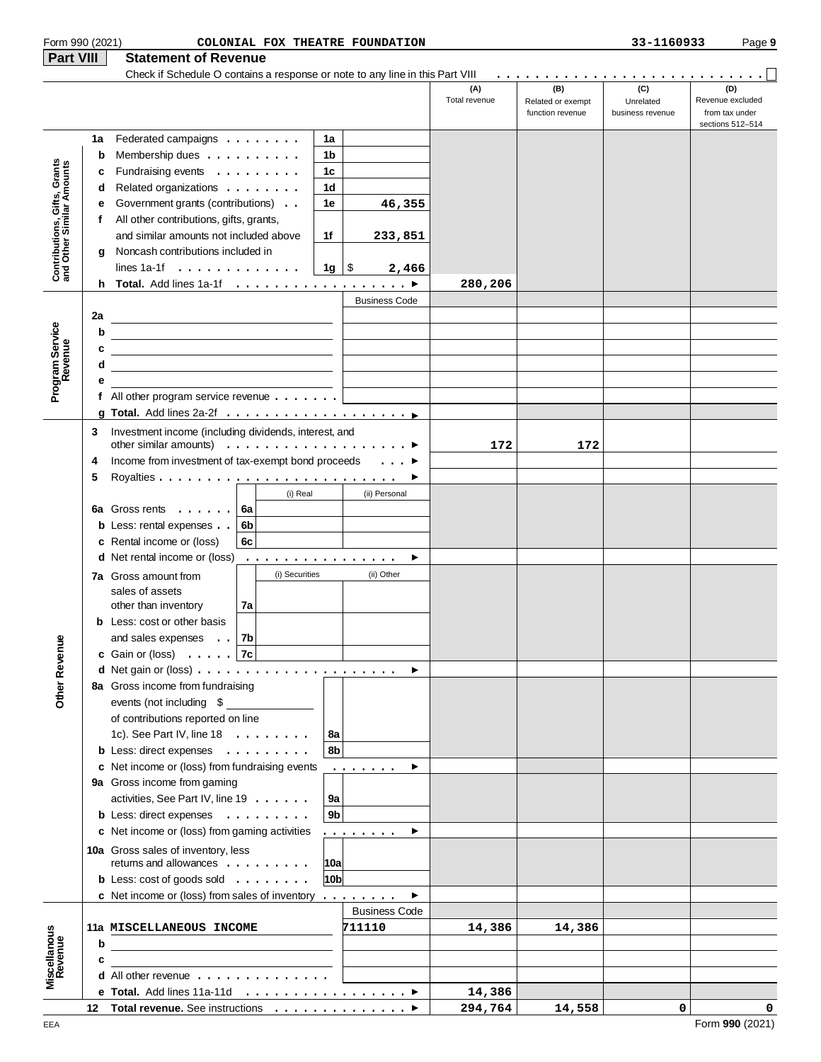| Form 990 (2021)                                           |    |                                                                                                                       |                |                |                 | COLONIAL FOX THEATRE FOUNDATION               |                      |                                              | 33-1160933                           | Page 9                                                        |
|-----------------------------------------------------------|----|-----------------------------------------------------------------------------------------------------------------------|----------------|----------------|-----------------|-----------------------------------------------|----------------------|----------------------------------------------|--------------------------------------|---------------------------------------------------------------|
| Part VIII                                                 |    | <b>Statement of Revenue</b>                                                                                           |                |                |                 |                                               |                      |                                              |                                      |                                                               |
|                                                           |    | Check if Schedule O contains a response or note to any line in this Part VIII                                         |                |                |                 |                                               | (A)<br>Total revenue | (B)<br>Related or exempt<br>function revenue | (C)<br>Unrelated<br>business revenue | (D)<br>Revenue excluded<br>from tax under<br>sections 512-514 |
|                                                           | 1a | Federated campaigns $\ldots$                                                                                          |                |                | 1a              |                                               |                      |                                              |                                      |                                                               |
|                                                           | b  | Membership dues                                                                                                       |                |                | 1b              |                                               |                      |                                              |                                      |                                                               |
| Contributions, Gifts, Grants<br>and Other Similar Amounts | c  | Fundraising events                                                                                                    |                |                | 1c              |                                               |                      |                                              |                                      |                                                               |
|                                                           | d  | Related organizations                                                                                                 |                |                | 1d              |                                               |                      |                                              |                                      |                                                               |
|                                                           | е  | Government grants (contributions)                                                                                     |                |                | 1e              | 46,355                                        |                      |                                              |                                      |                                                               |
|                                                           | f  | All other contributions, gifts, grants,                                                                               |                |                |                 |                                               |                      |                                              |                                      |                                                               |
|                                                           |    | and similar amounts not included above                                                                                |                |                | 1f              | 233,851                                       |                      |                                              |                                      |                                                               |
|                                                           | g  | Noncash contributions included in                                                                                     |                |                |                 |                                               |                      |                                              |                                      |                                                               |
|                                                           |    | lines 1a-1f $\ldots$ $\vert$                                                                                          |                |                | 1g ∣\$          | 2,466                                         |                      |                                              |                                      |                                                               |
|                                                           | h. | Total. Add lines 1a-1f ▶                                                                                              |                |                |                 |                                               | 280,206              |                                              |                                      |                                                               |
|                                                           |    |                                                                                                                       |                |                |                 | <b>Business Code</b>                          |                      |                                              |                                      |                                                               |
|                                                           | 2a |                                                                                                                       |                |                |                 |                                               |                      |                                              |                                      |                                                               |
|                                                           | b  | <u> 1989 - Johann Barn, fransk politik (f. 1989)</u>                                                                  |                |                |                 |                                               |                      |                                              |                                      |                                                               |
|                                                           | c  |                                                                                                                       |                |                |                 |                                               |                      |                                              |                                      |                                                               |
|                                                           | d  |                                                                                                                       |                |                |                 |                                               |                      |                                              |                                      |                                                               |
| Program Service<br>Revenue                                | е  |                                                                                                                       |                |                |                 |                                               |                      |                                              |                                      |                                                               |
|                                                           |    | f All other program service revenue $\ldots \ldots$                                                                   |                |                |                 |                                               |                      |                                              |                                      |                                                               |
|                                                           |    |                                                                                                                       |                |                |                 |                                               |                      |                                              |                                      |                                                               |
|                                                           | 3  | Investment income (including dividends, interest, and                                                                 |                |                |                 |                                               |                      |                                              |                                      |                                                               |
|                                                           |    | other similar amounts) $\ldots \ldots \ldots \ldots \ldots$                                                           |                |                |                 |                                               | 172                  | 172                                          |                                      |                                                               |
|                                                           | 4  | Income from investment of tax-exempt bond proceeds                                                                    |                |                |                 | $\ldots$                                      |                      |                                              |                                      |                                                               |
|                                                           | 5  |                                                                                                                       |                |                |                 |                                               |                      |                                              |                                      |                                                               |
|                                                           |    |                                                                                                                       |                | (i) Real       |                 | (ii) Personal                                 |                      |                                              |                                      |                                                               |
|                                                           |    | 6a Gross rents                                                                                                        | 6a             |                |                 |                                               |                      |                                              |                                      |                                                               |
|                                                           |    | <b>b</b> Less: rental expenses                                                                                        | 6b             |                |                 |                                               |                      |                                              |                                      |                                                               |
|                                                           |    | c Rental income or (loss)                                                                                             | 6с             |                |                 |                                               |                      |                                              |                                      |                                                               |
|                                                           |    | <b>d</b> Net rental income or (loss)                                                                                  |                |                |                 | ▶                                             |                      |                                              |                                      |                                                               |
|                                                           |    | <b>7a</b> Gross amount from                                                                                           |                | (i) Securities |                 | (ii) Other                                    |                      |                                              |                                      |                                                               |
|                                                           |    | sales of assets                                                                                                       |                |                |                 |                                               |                      |                                              |                                      |                                                               |
|                                                           |    | other than inventory                                                                                                  | 7a             |                |                 |                                               |                      |                                              |                                      |                                                               |
|                                                           |    | <b>b</b> Less: cost or other basis                                                                                    |                |                |                 |                                               |                      |                                              |                                      |                                                               |
|                                                           |    | and sales expenses                                                                                                    | 7 <sub>b</sub> |                |                 |                                               |                      |                                              |                                      |                                                               |
|                                                           |    | c Gain or (loss) $\ldots$ 7c                                                                                          |                |                |                 |                                               |                      |                                              |                                      |                                                               |
|                                                           |    |                                                                                                                       |                |                |                 |                                               |                      |                                              |                                      |                                                               |
| Other Revenue                                             |    | 8a Gross income from fundraising                                                                                      |                |                |                 |                                               |                      |                                              |                                      |                                                               |
|                                                           |    | events (not including \$                                                                                              |                |                |                 |                                               |                      |                                              |                                      |                                                               |
|                                                           |    | of contributions reported on line                                                                                     |                |                |                 |                                               |                      |                                              |                                      |                                                               |
|                                                           |    | 1c). See Part IV, line $18 \ldots \ldots$                                                                             |                |                | 8а              |                                               |                      |                                              |                                      |                                                               |
|                                                           |    | <b>b</b> Less: direct expenses                                                                                        |                |                | 8 <sub>b</sub>  |                                               |                      |                                              |                                      |                                                               |
|                                                           |    | c Net income or (loss) from fundraising events                                                                        |                |                |                 | .<br>▸                                        |                      |                                              |                                      |                                                               |
|                                                           |    | 9a Gross income from gaming                                                                                           |                |                |                 |                                               |                      |                                              |                                      |                                                               |
|                                                           |    | activities, See Part IV, line 19                                                                                      |                |                | 9a              |                                               |                      |                                              |                                      |                                                               |
|                                                           |    | b Less: direct expenses                                                                                               |                |                | 9 <sub>b</sub>  |                                               |                      |                                              |                                      |                                                               |
|                                                           |    | c Net income or (loss) from gaming activities                                                                         |                |                |                 | .<br>▸                                        |                      |                                              |                                      |                                                               |
|                                                           |    | 10a Gross sales of inventory, less                                                                                    |                |                |                 |                                               |                      |                                              |                                      |                                                               |
|                                                           |    | returns and allowances                                                                                                |                |                | 10a             |                                               |                      |                                              |                                      |                                                               |
|                                                           |    | <b>b</b> Less: $cost$ of goods sold $\ldots \ldots \ldots$                                                            |                |                | 10 <sub>b</sub> |                                               |                      |                                              |                                      |                                                               |
|                                                           |    | <b>c</b> Net income or (loss) from sales of inventory $\dots \dots$                                                   |                |                |                 | $\blacktriangleright$<br><b>Business Code</b> |                      |                                              |                                      |                                                               |
|                                                           |    | 11a MISCELLANEOUS INCOME                                                                                              |                |                |                 | 711110                                        | 14,386               | 14,386                                       |                                      |                                                               |
|                                                           | b  |                                                                                                                       |                |                |                 |                                               |                      |                                              |                                      |                                                               |
|                                                           | c  | <u> 1980 - Jan Stein Harry Stein Harry Stein Harry Stein Harry Stein Harry Stein Harry Stein Harry Stein Harry St</u> |                |                |                 |                                               |                      |                                              |                                      |                                                               |
| Miscellanous<br>Revenue                                   |    | <b>d</b> All other revenue $\ldots$ , $\ldots$ , $\ldots$ , $\ldots$                                                  |                |                |                 |                                               |                      |                                              |                                      |                                                               |
|                                                           |    |                                                                                                                       |                |                |                 |                                               | 14,386               |                                              |                                      |                                                               |
|                                                           |    | 12 Total revenue. See instructions ▶                                                                                  |                |                |                 |                                               | 294,764              | 14,558                                       | $\circ$                              | $\mathbf 0$                                                   |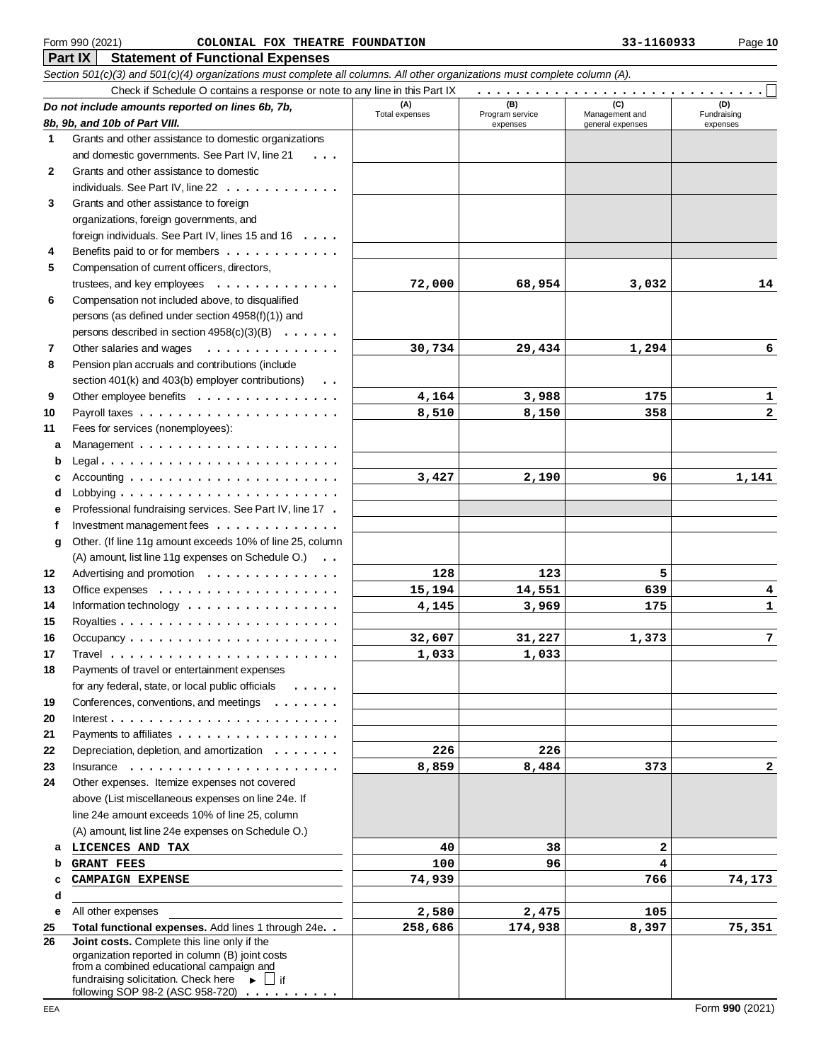### Form 990 (2021) Page **10 COLONIAL FOX THEATRE FOUNDATION 33-1160933**

| Check if Schedule O contains a response or note to any line in this Part IX<br>.<br>(B)<br>(C)<br>(D)<br>(A)<br>Do not include amounts reported on lines 6b, 7b,<br>Total expenses<br>Program service<br>Management and<br>Fundraising<br>8b, 9b, and 10b of Part VIII.<br>general expenses<br>expenses<br>expenses<br>Grants and other assistance to domestic organizations<br>1<br>and domestic governments. See Part IV, line 21<br>Grants and other assistance to domestic<br>2<br>individuals. See Part IV, line 22<br>Grants and other assistance to foreign<br>3<br>organizations, foreign governments, and<br>foreign individuals. See Part IV, lines 15 and 16<br>Benefits paid to or for members<br>4<br>5<br>Compensation of current officers, directors,<br>trustees, and key employees $\dots \dots$<br>72,000<br>68,954<br>3,032<br>14<br>$\begin{array}{cccccccccccccc} \bullet & \bullet & \bullet & \bullet & \bullet & \bullet & \bullet & \bullet \end{array}$<br>Compensation not included above, to disqualified<br>6<br>persons (as defined under section 4958(f)(1)) and<br>persons described in section 4958(c)(3)(B)<br>Other salaries and wages<br>30,734<br>29,434<br>6<br>7<br>.<br>1,294<br>Pension plan accruals and contributions (include<br>8<br>section 401(k) and 403(b) employer contributions)<br>$\ddots$<br>Other employee benefits<br>4,164<br>9<br>3,988<br>175<br>1<br>10<br>8,510<br>358<br>$\mathbf{2}$<br>8,150<br>Fees for services (nonemployees):<br>11<br>a<br>Accounting $\ldots \ldots \ldots \ldots \ldots \ldots \ldots$<br>3,427<br>2,190<br>96<br>1,141<br>Professional fundraising services. See Part IV, line 17 .<br>е<br>Investment management fees $\dots \dots \dots \dots$<br>f<br>Other. (If line 11g amount exceeds 10% of line 25, column<br>g<br>(A) amount, list line 11g expenses on Schedule O.)<br>Advertising and promotion<br>12<br>128<br>123<br>5<br>14,551<br>13<br>Office expenses $\dots \dots \dots \dots \dots \dots$<br>15,194<br>639<br>4<br>14<br>Information technology $\dots \dots \dots \dots \dots \dots$<br>4,145<br>3,969<br>$\mathbf{1}$<br>175<br>15<br>$\overline{7}$<br>32,607<br>31,227<br>1,373<br>16<br>17<br>1,033<br>1,033<br>Payments of travel or entertainment expenses<br>18<br>for any federal, state, or local public officials<br>Conferences, conventions, and meetings<br>19<br>$\cdots$<br>20<br>Payments to affiliates<br>21<br>Depreciation, depletion, and amortization<br>22<br>226<br>226<br>23<br>8,859<br>8,484<br>373<br>Insurance $\ldots$ , $\ldots$ , $\ldots$ , $\ldots$ , $\ldots$<br>2<br>Other expenses. Itemize expenses not covered<br>24<br>above (List miscellaneous expenses on line 24e. If<br>line 24e amount exceeds 10% of line 25, column<br>(A) amount, list line 24e expenses on Schedule O.)<br>2<br>LICENCES AND TAX<br>40<br>38<br>а<br>4<br>96<br><b>GRANT FEES</b><br>100<br>74,939<br>766<br><b>CAMPAIGN EXPENSE</b><br>74,173<br>d<br>All other expenses<br>2,580<br>2,475<br>105<br>е<br>Total functional expenses. Add lines 1 through 24e. .<br>258,686<br>75,351<br>25<br>174,938<br>8,397<br>Joint costs. Complete this line only if the<br>26<br>organization reported in column (B) joint costs<br>from a combined educational campaign and<br>fundraising solicitation. Check here $\blacktriangleright$ $\Box$ if | Section 501(c)(3) and 501(c)(4) organizations must complete all columns. All other organizations must complete column (A). |  |  |
|--------------------------------------------------------------------------------------------------------------------------------------------------------------------------------------------------------------------------------------------------------------------------------------------------------------------------------------------------------------------------------------------------------------------------------------------------------------------------------------------------------------------------------------------------------------------------------------------------------------------------------------------------------------------------------------------------------------------------------------------------------------------------------------------------------------------------------------------------------------------------------------------------------------------------------------------------------------------------------------------------------------------------------------------------------------------------------------------------------------------------------------------------------------------------------------------------------------------------------------------------------------------------------------------------------------------------------------------------------------------------------------------------------------------------------------------------------------------------------------------------------------------------------------------------------------------------------------------------------------------------------------------------------------------------------------------------------------------------------------------------------------------------------------------------------------------------------------------------------------------------------------------------------------------------------------------------------------------------------------------------------------------------------------------------------------------------------------------------------------------------------------------------------------------------------------------------------------------------------------------------------------------------------------------------------------------------------------------------------------------------------------------------------------------------------------------------------------------------------------------------------------------------------------------------------------------------------------------------------------------------------------------------------------------------------------------------------------------------------------------------------------------------------------------------------------------------------------------------------------------------------------------------------------------------------------------------------------------------------------------------------------------------------------------------------------------------------------------------------------------------------------------------------------------------------------------------------------------------------------------------------------------------------------------------------------------------------------------------------------------------|----------------------------------------------------------------------------------------------------------------------------|--|--|
|                                                                                                                                                                                                                                                                                                                                                                                                                                                                                                                                                                                                                                                                                                                                                                                                                                                                                                                                                                                                                                                                                                                                                                                                                                                                                                                                                                                                                                                                                                                                                                                                                                                                                                                                                                                                                                                                                                                                                                                                                                                                                                                                                                                                                                                                                                                                                                                                                                                                                                                                                                                                                                                                                                                                                                                                                                                                                                                                                                                                                                                                                                                                                                                                                                                                                                                                                                          |                                                                                                                            |  |  |
|                                                                                                                                                                                                                                                                                                                                                                                                                                                                                                                                                                                                                                                                                                                                                                                                                                                                                                                                                                                                                                                                                                                                                                                                                                                                                                                                                                                                                                                                                                                                                                                                                                                                                                                                                                                                                                                                                                                                                                                                                                                                                                                                                                                                                                                                                                                                                                                                                                                                                                                                                                                                                                                                                                                                                                                                                                                                                                                                                                                                                                                                                                                                                                                                                                                                                                                                                                          |                                                                                                                            |  |  |
|                                                                                                                                                                                                                                                                                                                                                                                                                                                                                                                                                                                                                                                                                                                                                                                                                                                                                                                                                                                                                                                                                                                                                                                                                                                                                                                                                                                                                                                                                                                                                                                                                                                                                                                                                                                                                                                                                                                                                                                                                                                                                                                                                                                                                                                                                                                                                                                                                                                                                                                                                                                                                                                                                                                                                                                                                                                                                                                                                                                                                                                                                                                                                                                                                                                                                                                                                                          |                                                                                                                            |  |  |
|                                                                                                                                                                                                                                                                                                                                                                                                                                                                                                                                                                                                                                                                                                                                                                                                                                                                                                                                                                                                                                                                                                                                                                                                                                                                                                                                                                                                                                                                                                                                                                                                                                                                                                                                                                                                                                                                                                                                                                                                                                                                                                                                                                                                                                                                                                                                                                                                                                                                                                                                                                                                                                                                                                                                                                                                                                                                                                                                                                                                                                                                                                                                                                                                                                                                                                                                                                          |                                                                                                                            |  |  |
|                                                                                                                                                                                                                                                                                                                                                                                                                                                                                                                                                                                                                                                                                                                                                                                                                                                                                                                                                                                                                                                                                                                                                                                                                                                                                                                                                                                                                                                                                                                                                                                                                                                                                                                                                                                                                                                                                                                                                                                                                                                                                                                                                                                                                                                                                                                                                                                                                                                                                                                                                                                                                                                                                                                                                                                                                                                                                                                                                                                                                                                                                                                                                                                                                                                                                                                                                                          |                                                                                                                            |  |  |
|                                                                                                                                                                                                                                                                                                                                                                                                                                                                                                                                                                                                                                                                                                                                                                                                                                                                                                                                                                                                                                                                                                                                                                                                                                                                                                                                                                                                                                                                                                                                                                                                                                                                                                                                                                                                                                                                                                                                                                                                                                                                                                                                                                                                                                                                                                                                                                                                                                                                                                                                                                                                                                                                                                                                                                                                                                                                                                                                                                                                                                                                                                                                                                                                                                                                                                                                                                          |                                                                                                                            |  |  |
|                                                                                                                                                                                                                                                                                                                                                                                                                                                                                                                                                                                                                                                                                                                                                                                                                                                                                                                                                                                                                                                                                                                                                                                                                                                                                                                                                                                                                                                                                                                                                                                                                                                                                                                                                                                                                                                                                                                                                                                                                                                                                                                                                                                                                                                                                                                                                                                                                                                                                                                                                                                                                                                                                                                                                                                                                                                                                                                                                                                                                                                                                                                                                                                                                                                                                                                                                                          |                                                                                                                            |  |  |
|                                                                                                                                                                                                                                                                                                                                                                                                                                                                                                                                                                                                                                                                                                                                                                                                                                                                                                                                                                                                                                                                                                                                                                                                                                                                                                                                                                                                                                                                                                                                                                                                                                                                                                                                                                                                                                                                                                                                                                                                                                                                                                                                                                                                                                                                                                                                                                                                                                                                                                                                                                                                                                                                                                                                                                                                                                                                                                                                                                                                                                                                                                                                                                                                                                                                                                                                                                          |                                                                                                                            |  |  |
|                                                                                                                                                                                                                                                                                                                                                                                                                                                                                                                                                                                                                                                                                                                                                                                                                                                                                                                                                                                                                                                                                                                                                                                                                                                                                                                                                                                                                                                                                                                                                                                                                                                                                                                                                                                                                                                                                                                                                                                                                                                                                                                                                                                                                                                                                                                                                                                                                                                                                                                                                                                                                                                                                                                                                                                                                                                                                                                                                                                                                                                                                                                                                                                                                                                                                                                                                                          |                                                                                                                            |  |  |
|                                                                                                                                                                                                                                                                                                                                                                                                                                                                                                                                                                                                                                                                                                                                                                                                                                                                                                                                                                                                                                                                                                                                                                                                                                                                                                                                                                                                                                                                                                                                                                                                                                                                                                                                                                                                                                                                                                                                                                                                                                                                                                                                                                                                                                                                                                                                                                                                                                                                                                                                                                                                                                                                                                                                                                                                                                                                                                                                                                                                                                                                                                                                                                                                                                                                                                                                                                          |                                                                                                                            |  |  |
|                                                                                                                                                                                                                                                                                                                                                                                                                                                                                                                                                                                                                                                                                                                                                                                                                                                                                                                                                                                                                                                                                                                                                                                                                                                                                                                                                                                                                                                                                                                                                                                                                                                                                                                                                                                                                                                                                                                                                                                                                                                                                                                                                                                                                                                                                                                                                                                                                                                                                                                                                                                                                                                                                                                                                                                                                                                                                                                                                                                                                                                                                                                                                                                                                                                                                                                                                                          |                                                                                                                            |  |  |
|                                                                                                                                                                                                                                                                                                                                                                                                                                                                                                                                                                                                                                                                                                                                                                                                                                                                                                                                                                                                                                                                                                                                                                                                                                                                                                                                                                                                                                                                                                                                                                                                                                                                                                                                                                                                                                                                                                                                                                                                                                                                                                                                                                                                                                                                                                                                                                                                                                                                                                                                                                                                                                                                                                                                                                                                                                                                                                                                                                                                                                                                                                                                                                                                                                                                                                                                                                          |                                                                                                                            |  |  |
|                                                                                                                                                                                                                                                                                                                                                                                                                                                                                                                                                                                                                                                                                                                                                                                                                                                                                                                                                                                                                                                                                                                                                                                                                                                                                                                                                                                                                                                                                                                                                                                                                                                                                                                                                                                                                                                                                                                                                                                                                                                                                                                                                                                                                                                                                                                                                                                                                                                                                                                                                                                                                                                                                                                                                                                                                                                                                                                                                                                                                                                                                                                                                                                                                                                                                                                                                                          |                                                                                                                            |  |  |
|                                                                                                                                                                                                                                                                                                                                                                                                                                                                                                                                                                                                                                                                                                                                                                                                                                                                                                                                                                                                                                                                                                                                                                                                                                                                                                                                                                                                                                                                                                                                                                                                                                                                                                                                                                                                                                                                                                                                                                                                                                                                                                                                                                                                                                                                                                                                                                                                                                                                                                                                                                                                                                                                                                                                                                                                                                                                                                                                                                                                                                                                                                                                                                                                                                                                                                                                                                          |                                                                                                                            |  |  |
|                                                                                                                                                                                                                                                                                                                                                                                                                                                                                                                                                                                                                                                                                                                                                                                                                                                                                                                                                                                                                                                                                                                                                                                                                                                                                                                                                                                                                                                                                                                                                                                                                                                                                                                                                                                                                                                                                                                                                                                                                                                                                                                                                                                                                                                                                                                                                                                                                                                                                                                                                                                                                                                                                                                                                                                                                                                                                                                                                                                                                                                                                                                                                                                                                                                                                                                                                                          |                                                                                                                            |  |  |
|                                                                                                                                                                                                                                                                                                                                                                                                                                                                                                                                                                                                                                                                                                                                                                                                                                                                                                                                                                                                                                                                                                                                                                                                                                                                                                                                                                                                                                                                                                                                                                                                                                                                                                                                                                                                                                                                                                                                                                                                                                                                                                                                                                                                                                                                                                                                                                                                                                                                                                                                                                                                                                                                                                                                                                                                                                                                                                                                                                                                                                                                                                                                                                                                                                                                                                                                                                          |                                                                                                                            |  |  |
|                                                                                                                                                                                                                                                                                                                                                                                                                                                                                                                                                                                                                                                                                                                                                                                                                                                                                                                                                                                                                                                                                                                                                                                                                                                                                                                                                                                                                                                                                                                                                                                                                                                                                                                                                                                                                                                                                                                                                                                                                                                                                                                                                                                                                                                                                                                                                                                                                                                                                                                                                                                                                                                                                                                                                                                                                                                                                                                                                                                                                                                                                                                                                                                                                                                                                                                                                                          |                                                                                                                            |  |  |
|                                                                                                                                                                                                                                                                                                                                                                                                                                                                                                                                                                                                                                                                                                                                                                                                                                                                                                                                                                                                                                                                                                                                                                                                                                                                                                                                                                                                                                                                                                                                                                                                                                                                                                                                                                                                                                                                                                                                                                                                                                                                                                                                                                                                                                                                                                                                                                                                                                                                                                                                                                                                                                                                                                                                                                                                                                                                                                                                                                                                                                                                                                                                                                                                                                                                                                                                                                          |                                                                                                                            |  |  |
|                                                                                                                                                                                                                                                                                                                                                                                                                                                                                                                                                                                                                                                                                                                                                                                                                                                                                                                                                                                                                                                                                                                                                                                                                                                                                                                                                                                                                                                                                                                                                                                                                                                                                                                                                                                                                                                                                                                                                                                                                                                                                                                                                                                                                                                                                                                                                                                                                                                                                                                                                                                                                                                                                                                                                                                                                                                                                                                                                                                                                                                                                                                                                                                                                                                                                                                                                                          |                                                                                                                            |  |  |
|                                                                                                                                                                                                                                                                                                                                                                                                                                                                                                                                                                                                                                                                                                                                                                                                                                                                                                                                                                                                                                                                                                                                                                                                                                                                                                                                                                                                                                                                                                                                                                                                                                                                                                                                                                                                                                                                                                                                                                                                                                                                                                                                                                                                                                                                                                                                                                                                                                                                                                                                                                                                                                                                                                                                                                                                                                                                                                                                                                                                                                                                                                                                                                                                                                                                                                                                                                          |                                                                                                                            |  |  |
|                                                                                                                                                                                                                                                                                                                                                                                                                                                                                                                                                                                                                                                                                                                                                                                                                                                                                                                                                                                                                                                                                                                                                                                                                                                                                                                                                                                                                                                                                                                                                                                                                                                                                                                                                                                                                                                                                                                                                                                                                                                                                                                                                                                                                                                                                                                                                                                                                                                                                                                                                                                                                                                                                                                                                                                                                                                                                                                                                                                                                                                                                                                                                                                                                                                                                                                                                                          |                                                                                                                            |  |  |
|                                                                                                                                                                                                                                                                                                                                                                                                                                                                                                                                                                                                                                                                                                                                                                                                                                                                                                                                                                                                                                                                                                                                                                                                                                                                                                                                                                                                                                                                                                                                                                                                                                                                                                                                                                                                                                                                                                                                                                                                                                                                                                                                                                                                                                                                                                                                                                                                                                                                                                                                                                                                                                                                                                                                                                                                                                                                                                                                                                                                                                                                                                                                                                                                                                                                                                                                                                          |                                                                                                                            |  |  |
|                                                                                                                                                                                                                                                                                                                                                                                                                                                                                                                                                                                                                                                                                                                                                                                                                                                                                                                                                                                                                                                                                                                                                                                                                                                                                                                                                                                                                                                                                                                                                                                                                                                                                                                                                                                                                                                                                                                                                                                                                                                                                                                                                                                                                                                                                                                                                                                                                                                                                                                                                                                                                                                                                                                                                                                                                                                                                                                                                                                                                                                                                                                                                                                                                                                                                                                                                                          |                                                                                                                            |  |  |
|                                                                                                                                                                                                                                                                                                                                                                                                                                                                                                                                                                                                                                                                                                                                                                                                                                                                                                                                                                                                                                                                                                                                                                                                                                                                                                                                                                                                                                                                                                                                                                                                                                                                                                                                                                                                                                                                                                                                                                                                                                                                                                                                                                                                                                                                                                                                                                                                                                                                                                                                                                                                                                                                                                                                                                                                                                                                                                                                                                                                                                                                                                                                                                                                                                                                                                                                                                          |                                                                                                                            |  |  |
|                                                                                                                                                                                                                                                                                                                                                                                                                                                                                                                                                                                                                                                                                                                                                                                                                                                                                                                                                                                                                                                                                                                                                                                                                                                                                                                                                                                                                                                                                                                                                                                                                                                                                                                                                                                                                                                                                                                                                                                                                                                                                                                                                                                                                                                                                                                                                                                                                                                                                                                                                                                                                                                                                                                                                                                                                                                                                                                                                                                                                                                                                                                                                                                                                                                                                                                                                                          |                                                                                                                            |  |  |
|                                                                                                                                                                                                                                                                                                                                                                                                                                                                                                                                                                                                                                                                                                                                                                                                                                                                                                                                                                                                                                                                                                                                                                                                                                                                                                                                                                                                                                                                                                                                                                                                                                                                                                                                                                                                                                                                                                                                                                                                                                                                                                                                                                                                                                                                                                                                                                                                                                                                                                                                                                                                                                                                                                                                                                                                                                                                                                                                                                                                                                                                                                                                                                                                                                                                                                                                                                          |                                                                                                                            |  |  |
|                                                                                                                                                                                                                                                                                                                                                                                                                                                                                                                                                                                                                                                                                                                                                                                                                                                                                                                                                                                                                                                                                                                                                                                                                                                                                                                                                                                                                                                                                                                                                                                                                                                                                                                                                                                                                                                                                                                                                                                                                                                                                                                                                                                                                                                                                                                                                                                                                                                                                                                                                                                                                                                                                                                                                                                                                                                                                                                                                                                                                                                                                                                                                                                                                                                                                                                                                                          |                                                                                                                            |  |  |
|                                                                                                                                                                                                                                                                                                                                                                                                                                                                                                                                                                                                                                                                                                                                                                                                                                                                                                                                                                                                                                                                                                                                                                                                                                                                                                                                                                                                                                                                                                                                                                                                                                                                                                                                                                                                                                                                                                                                                                                                                                                                                                                                                                                                                                                                                                                                                                                                                                                                                                                                                                                                                                                                                                                                                                                                                                                                                                                                                                                                                                                                                                                                                                                                                                                                                                                                                                          |                                                                                                                            |  |  |
|                                                                                                                                                                                                                                                                                                                                                                                                                                                                                                                                                                                                                                                                                                                                                                                                                                                                                                                                                                                                                                                                                                                                                                                                                                                                                                                                                                                                                                                                                                                                                                                                                                                                                                                                                                                                                                                                                                                                                                                                                                                                                                                                                                                                                                                                                                                                                                                                                                                                                                                                                                                                                                                                                                                                                                                                                                                                                                                                                                                                                                                                                                                                                                                                                                                                                                                                                                          |                                                                                                                            |  |  |
|                                                                                                                                                                                                                                                                                                                                                                                                                                                                                                                                                                                                                                                                                                                                                                                                                                                                                                                                                                                                                                                                                                                                                                                                                                                                                                                                                                                                                                                                                                                                                                                                                                                                                                                                                                                                                                                                                                                                                                                                                                                                                                                                                                                                                                                                                                                                                                                                                                                                                                                                                                                                                                                                                                                                                                                                                                                                                                                                                                                                                                                                                                                                                                                                                                                                                                                                                                          |                                                                                                                            |  |  |
|                                                                                                                                                                                                                                                                                                                                                                                                                                                                                                                                                                                                                                                                                                                                                                                                                                                                                                                                                                                                                                                                                                                                                                                                                                                                                                                                                                                                                                                                                                                                                                                                                                                                                                                                                                                                                                                                                                                                                                                                                                                                                                                                                                                                                                                                                                                                                                                                                                                                                                                                                                                                                                                                                                                                                                                                                                                                                                                                                                                                                                                                                                                                                                                                                                                                                                                                                                          |                                                                                                                            |  |  |
|                                                                                                                                                                                                                                                                                                                                                                                                                                                                                                                                                                                                                                                                                                                                                                                                                                                                                                                                                                                                                                                                                                                                                                                                                                                                                                                                                                                                                                                                                                                                                                                                                                                                                                                                                                                                                                                                                                                                                                                                                                                                                                                                                                                                                                                                                                                                                                                                                                                                                                                                                                                                                                                                                                                                                                                                                                                                                                                                                                                                                                                                                                                                                                                                                                                                                                                                                                          |                                                                                                                            |  |  |
|                                                                                                                                                                                                                                                                                                                                                                                                                                                                                                                                                                                                                                                                                                                                                                                                                                                                                                                                                                                                                                                                                                                                                                                                                                                                                                                                                                                                                                                                                                                                                                                                                                                                                                                                                                                                                                                                                                                                                                                                                                                                                                                                                                                                                                                                                                                                                                                                                                                                                                                                                                                                                                                                                                                                                                                                                                                                                                                                                                                                                                                                                                                                                                                                                                                                                                                                                                          |                                                                                                                            |  |  |
|                                                                                                                                                                                                                                                                                                                                                                                                                                                                                                                                                                                                                                                                                                                                                                                                                                                                                                                                                                                                                                                                                                                                                                                                                                                                                                                                                                                                                                                                                                                                                                                                                                                                                                                                                                                                                                                                                                                                                                                                                                                                                                                                                                                                                                                                                                                                                                                                                                                                                                                                                                                                                                                                                                                                                                                                                                                                                                                                                                                                                                                                                                                                                                                                                                                                                                                                                                          |                                                                                                                            |  |  |
|                                                                                                                                                                                                                                                                                                                                                                                                                                                                                                                                                                                                                                                                                                                                                                                                                                                                                                                                                                                                                                                                                                                                                                                                                                                                                                                                                                                                                                                                                                                                                                                                                                                                                                                                                                                                                                                                                                                                                                                                                                                                                                                                                                                                                                                                                                                                                                                                                                                                                                                                                                                                                                                                                                                                                                                                                                                                                                                                                                                                                                                                                                                                                                                                                                                                                                                                                                          |                                                                                                                            |  |  |
|                                                                                                                                                                                                                                                                                                                                                                                                                                                                                                                                                                                                                                                                                                                                                                                                                                                                                                                                                                                                                                                                                                                                                                                                                                                                                                                                                                                                                                                                                                                                                                                                                                                                                                                                                                                                                                                                                                                                                                                                                                                                                                                                                                                                                                                                                                                                                                                                                                                                                                                                                                                                                                                                                                                                                                                                                                                                                                                                                                                                                                                                                                                                                                                                                                                                                                                                                                          |                                                                                                                            |  |  |
|                                                                                                                                                                                                                                                                                                                                                                                                                                                                                                                                                                                                                                                                                                                                                                                                                                                                                                                                                                                                                                                                                                                                                                                                                                                                                                                                                                                                                                                                                                                                                                                                                                                                                                                                                                                                                                                                                                                                                                                                                                                                                                                                                                                                                                                                                                                                                                                                                                                                                                                                                                                                                                                                                                                                                                                                                                                                                                                                                                                                                                                                                                                                                                                                                                                                                                                                                                          |                                                                                                                            |  |  |
|                                                                                                                                                                                                                                                                                                                                                                                                                                                                                                                                                                                                                                                                                                                                                                                                                                                                                                                                                                                                                                                                                                                                                                                                                                                                                                                                                                                                                                                                                                                                                                                                                                                                                                                                                                                                                                                                                                                                                                                                                                                                                                                                                                                                                                                                                                                                                                                                                                                                                                                                                                                                                                                                                                                                                                                                                                                                                                                                                                                                                                                                                                                                                                                                                                                                                                                                                                          |                                                                                                                            |  |  |
|                                                                                                                                                                                                                                                                                                                                                                                                                                                                                                                                                                                                                                                                                                                                                                                                                                                                                                                                                                                                                                                                                                                                                                                                                                                                                                                                                                                                                                                                                                                                                                                                                                                                                                                                                                                                                                                                                                                                                                                                                                                                                                                                                                                                                                                                                                                                                                                                                                                                                                                                                                                                                                                                                                                                                                                                                                                                                                                                                                                                                                                                                                                                                                                                                                                                                                                                                                          |                                                                                                                            |  |  |
|                                                                                                                                                                                                                                                                                                                                                                                                                                                                                                                                                                                                                                                                                                                                                                                                                                                                                                                                                                                                                                                                                                                                                                                                                                                                                                                                                                                                                                                                                                                                                                                                                                                                                                                                                                                                                                                                                                                                                                                                                                                                                                                                                                                                                                                                                                                                                                                                                                                                                                                                                                                                                                                                                                                                                                                                                                                                                                                                                                                                                                                                                                                                                                                                                                                                                                                                                                          |                                                                                                                            |  |  |
|                                                                                                                                                                                                                                                                                                                                                                                                                                                                                                                                                                                                                                                                                                                                                                                                                                                                                                                                                                                                                                                                                                                                                                                                                                                                                                                                                                                                                                                                                                                                                                                                                                                                                                                                                                                                                                                                                                                                                                                                                                                                                                                                                                                                                                                                                                                                                                                                                                                                                                                                                                                                                                                                                                                                                                                                                                                                                                                                                                                                                                                                                                                                                                                                                                                                                                                                                                          |                                                                                                                            |  |  |
|                                                                                                                                                                                                                                                                                                                                                                                                                                                                                                                                                                                                                                                                                                                                                                                                                                                                                                                                                                                                                                                                                                                                                                                                                                                                                                                                                                                                                                                                                                                                                                                                                                                                                                                                                                                                                                                                                                                                                                                                                                                                                                                                                                                                                                                                                                                                                                                                                                                                                                                                                                                                                                                                                                                                                                                                                                                                                                                                                                                                                                                                                                                                                                                                                                                                                                                                                                          |                                                                                                                            |  |  |
|                                                                                                                                                                                                                                                                                                                                                                                                                                                                                                                                                                                                                                                                                                                                                                                                                                                                                                                                                                                                                                                                                                                                                                                                                                                                                                                                                                                                                                                                                                                                                                                                                                                                                                                                                                                                                                                                                                                                                                                                                                                                                                                                                                                                                                                                                                                                                                                                                                                                                                                                                                                                                                                                                                                                                                                                                                                                                                                                                                                                                                                                                                                                                                                                                                                                                                                                                                          |                                                                                                                            |  |  |
|                                                                                                                                                                                                                                                                                                                                                                                                                                                                                                                                                                                                                                                                                                                                                                                                                                                                                                                                                                                                                                                                                                                                                                                                                                                                                                                                                                                                                                                                                                                                                                                                                                                                                                                                                                                                                                                                                                                                                                                                                                                                                                                                                                                                                                                                                                                                                                                                                                                                                                                                                                                                                                                                                                                                                                                                                                                                                                                                                                                                                                                                                                                                                                                                                                                                                                                                                                          |                                                                                                                            |  |  |
|                                                                                                                                                                                                                                                                                                                                                                                                                                                                                                                                                                                                                                                                                                                                                                                                                                                                                                                                                                                                                                                                                                                                                                                                                                                                                                                                                                                                                                                                                                                                                                                                                                                                                                                                                                                                                                                                                                                                                                                                                                                                                                                                                                                                                                                                                                                                                                                                                                                                                                                                                                                                                                                                                                                                                                                                                                                                                                                                                                                                                                                                                                                                                                                                                                                                                                                                                                          |                                                                                                                            |  |  |
|                                                                                                                                                                                                                                                                                                                                                                                                                                                                                                                                                                                                                                                                                                                                                                                                                                                                                                                                                                                                                                                                                                                                                                                                                                                                                                                                                                                                                                                                                                                                                                                                                                                                                                                                                                                                                                                                                                                                                                                                                                                                                                                                                                                                                                                                                                                                                                                                                                                                                                                                                                                                                                                                                                                                                                                                                                                                                                                                                                                                                                                                                                                                                                                                                                                                                                                                                                          |                                                                                                                            |  |  |
|                                                                                                                                                                                                                                                                                                                                                                                                                                                                                                                                                                                                                                                                                                                                                                                                                                                                                                                                                                                                                                                                                                                                                                                                                                                                                                                                                                                                                                                                                                                                                                                                                                                                                                                                                                                                                                                                                                                                                                                                                                                                                                                                                                                                                                                                                                                                                                                                                                                                                                                                                                                                                                                                                                                                                                                                                                                                                                                                                                                                                                                                                                                                                                                                                                                                                                                                                                          |                                                                                                                            |  |  |
|                                                                                                                                                                                                                                                                                                                                                                                                                                                                                                                                                                                                                                                                                                                                                                                                                                                                                                                                                                                                                                                                                                                                                                                                                                                                                                                                                                                                                                                                                                                                                                                                                                                                                                                                                                                                                                                                                                                                                                                                                                                                                                                                                                                                                                                                                                                                                                                                                                                                                                                                                                                                                                                                                                                                                                                                                                                                                                                                                                                                                                                                                                                                                                                                                                                                                                                                                                          |                                                                                                                            |  |  |
|                                                                                                                                                                                                                                                                                                                                                                                                                                                                                                                                                                                                                                                                                                                                                                                                                                                                                                                                                                                                                                                                                                                                                                                                                                                                                                                                                                                                                                                                                                                                                                                                                                                                                                                                                                                                                                                                                                                                                                                                                                                                                                                                                                                                                                                                                                                                                                                                                                                                                                                                                                                                                                                                                                                                                                                                                                                                                                                                                                                                                                                                                                                                                                                                                                                                                                                                                                          |                                                                                                                            |  |  |
|                                                                                                                                                                                                                                                                                                                                                                                                                                                                                                                                                                                                                                                                                                                                                                                                                                                                                                                                                                                                                                                                                                                                                                                                                                                                                                                                                                                                                                                                                                                                                                                                                                                                                                                                                                                                                                                                                                                                                                                                                                                                                                                                                                                                                                                                                                                                                                                                                                                                                                                                                                                                                                                                                                                                                                                                                                                                                                                                                                                                                                                                                                                                                                                                                                                                                                                                                                          |                                                                                                                            |  |  |
|                                                                                                                                                                                                                                                                                                                                                                                                                                                                                                                                                                                                                                                                                                                                                                                                                                                                                                                                                                                                                                                                                                                                                                                                                                                                                                                                                                                                                                                                                                                                                                                                                                                                                                                                                                                                                                                                                                                                                                                                                                                                                                                                                                                                                                                                                                                                                                                                                                                                                                                                                                                                                                                                                                                                                                                                                                                                                                                                                                                                                                                                                                                                                                                                                                                                                                                                                                          |                                                                                                                            |  |  |
|                                                                                                                                                                                                                                                                                                                                                                                                                                                                                                                                                                                                                                                                                                                                                                                                                                                                                                                                                                                                                                                                                                                                                                                                                                                                                                                                                                                                                                                                                                                                                                                                                                                                                                                                                                                                                                                                                                                                                                                                                                                                                                                                                                                                                                                                                                                                                                                                                                                                                                                                                                                                                                                                                                                                                                                                                                                                                                                                                                                                                                                                                                                                                                                                                                                                                                                                                                          |                                                                                                                            |  |  |
|                                                                                                                                                                                                                                                                                                                                                                                                                                                                                                                                                                                                                                                                                                                                                                                                                                                                                                                                                                                                                                                                                                                                                                                                                                                                                                                                                                                                                                                                                                                                                                                                                                                                                                                                                                                                                                                                                                                                                                                                                                                                                                                                                                                                                                                                                                                                                                                                                                                                                                                                                                                                                                                                                                                                                                                                                                                                                                                                                                                                                                                                                                                                                                                                                                                                                                                                                                          |                                                                                                                            |  |  |
|                                                                                                                                                                                                                                                                                                                                                                                                                                                                                                                                                                                                                                                                                                                                                                                                                                                                                                                                                                                                                                                                                                                                                                                                                                                                                                                                                                                                                                                                                                                                                                                                                                                                                                                                                                                                                                                                                                                                                                                                                                                                                                                                                                                                                                                                                                                                                                                                                                                                                                                                                                                                                                                                                                                                                                                                                                                                                                                                                                                                                                                                                                                                                                                                                                                                                                                                                                          |                                                                                                                            |  |  |
|                                                                                                                                                                                                                                                                                                                                                                                                                                                                                                                                                                                                                                                                                                                                                                                                                                                                                                                                                                                                                                                                                                                                                                                                                                                                                                                                                                                                                                                                                                                                                                                                                                                                                                                                                                                                                                                                                                                                                                                                                                                                                                                                                                                                                                                                                                                                                                                                                                                                                                                                                                                                                                                                                                                                                                                                                                                                                                                                                                                                                                                                                                                                                                                                                                                                                                                                                                          |                                                                                                                            |  |  |
|                                                                                                                                                                                                                                                                                                                                                                                                                                                                                                                                                                                                                                                                                                                                                                                                                                                                                                                                                                                                                                                                                                                                                                                                                                                                                                                                                                                                                                                                                                                                                                                                                                                                                                                                                                                                                                                                                                                                                                                                                                                                                                                                                                                                                                                                                                                                                                                                                                                                                                                                                                                                                                                                                                                                                                                                                                                                                                                                                                                                                                                                                                                                                                                                                                                                                                                                                                          |                                                                                                                            |  |  |
|                                                                                                                                                                                                                                                                                                                                                                                                                                                                                                                                                                                                                                                                                                                                                                                                                                                                                                                                                                                                                                                                                                                                                                                                                                                                                                                                                                                                                                                                                                                                                                                                                                                                                                                                                                                                                                                                                                                                                                                                                                                                                                                                                                                                                                                                                                                                                                                                                                                                                                                                                                                                                                                                                                                                                                                                                                                                                                                                                                                                                                                                                                                                                                                                                                                                                                                                                                          | following SOP 98-2 (ASC 958-720)                                                                                           |  |  |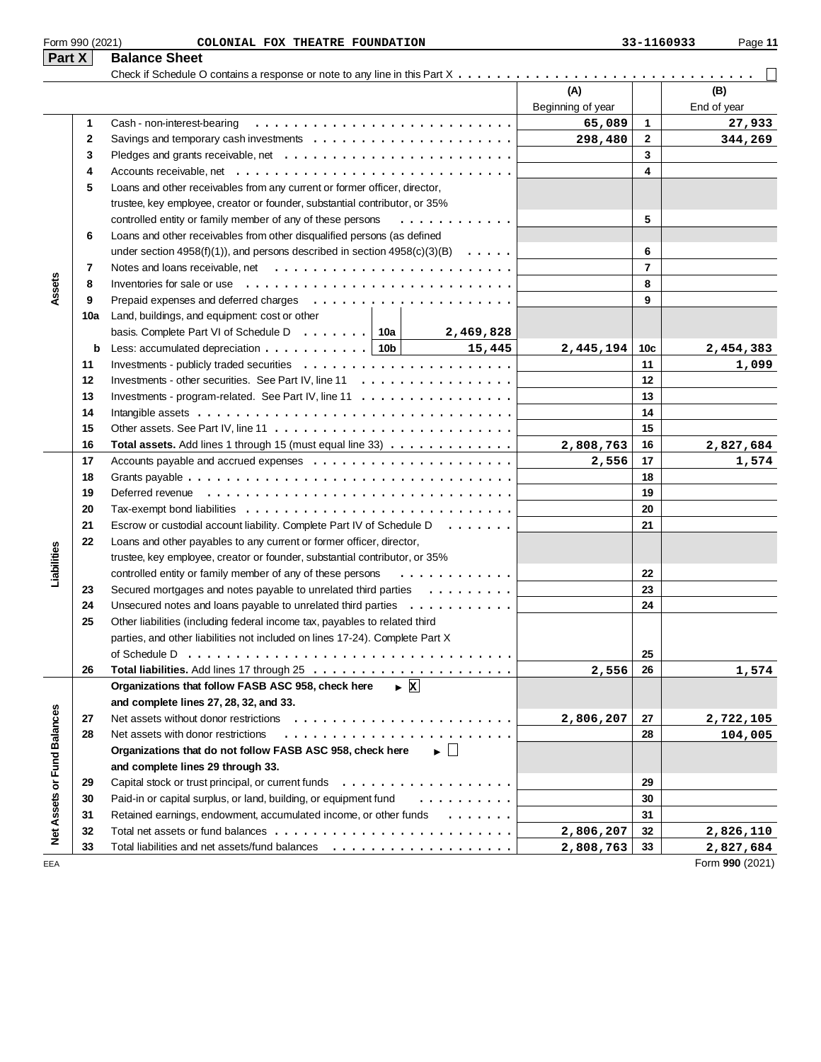|  | Form 990 (2021) |
|--|-----------------|
|  |                 |

| ۱ρ<br>aс |  |
|----------|--|
|          |  |

| $ $ Part X $ $              |              | <b>Balance Sheet</b>                                                                                   |                   |                |                 |
|-----------------------------|--------------|--------------------------------------------------------------------------------------------------------|-------------------|----------------|-----------------|
|                             |              |                                                                                                        |                   |                |                 |
|                             |              |                                                                                                        | (A)               |                | (B)             |
|                             |              |                                                                                                        | Beginning of year |                | End of year     |
|                             | 1            | Cash - non-interest-bearing                                                                            | 65,089            | 1              | 27,933          |
|                             | $\mathbf{2}$ | Savings and temporary cash investments $\dots \dots \dots \dots \dots \dots \dots \dots$               | 298,480           | $\mathbf{2}$   | 344,269         |
|                             | 3            |                                                                                                        |                   | 3              |                 |
|                             | 4            |                                                                                                        |                   | 4              |                 |
|                             | 5            | Loans and other receivables from any current or former officer, director,                              |                   |                |                 |
|                             |              | trustee, key employee, creator or founder, substantial contributor, or 35%                             |                   |                |                 |
|                             |              | controlled entity or family member of any of these persons<br>.                                        |                   | 5              |                 |
|                             | 6            | Loans and other receivables from other disqualified persons (as defined                                |                   |                |                 |
|                             |              | under section 4958(f)(1)), and persons described in section $4958(c)(3)(B) \ldots$ .                   |                   | 6              |                 |
|                             | 7            |                                                                                                        |                   | $\overline{7}$ |                 |
| Assets                      | 8            | Inventories for sale or use                                                                            |                   | 8              |                 |
|                             | 9            |                                                                                                        |                   | 9              |                 |
|                             | 10a          | Land, buildings, and equipment: cost or other                                                          |                   |                |                 |
|                             |              | basis. Complete Part VI of Schedule D $\ldots \ldots$ 10a<br>2,469,828                                 |                   |                |                 |
|                             | b            | Less: accumulated depreciation $\ldots \ldots \ldots \ldots$   10b  <br>15,445<br><u>and the state</u> | 2,445,194         | 10c            | 2,454,383       |
|                             | 11           |                                                                                                        |                   | 11             | 1,099           |
|                             | 12           | Investments - other securities. See Part IV, line 11                                                   |                   | 12             |                 |
|                             | 13           | Investments - program-related. See Part IV, line 11                                                    |                   | 13             |                 |
|                             | 14           |                                                                                                        |                   | 14             |                 |
|                             | 15           |                                                                                                        |                   | 15             |                 |
|                             | 16           | Total assets. Add lines 1 through 15 (must equal line 33)                                              | 2,808,763         | 16             | 2,827,684       |
|                             | 17           |                                                                                                        | 2,556             | 17             | 1,574           |
|                             | 18           |                                                                                                        |                   | 18             |                 |
|                             | 19           |                                                                                                        |                   | 19             |                 |
|                             | 20           |                                                                                                        |                   | 20             |                 |
|                             | 21           | Escrow or custodial account liability. Complete Part IV of Schedule D<br>$\cdots$                      |                   | 21             |                 |
|                             | 22           | Loans and other payables to any current or former officer, director,                                   |                   |                |                 |
|                             |              | trustee, key employee, creator or founder, substantial contributor, or 35%                             |                   |                |                 |
| Liabilities                 |              | controlled entity or family member of any of these persons<br>.                                        |                   | 22             |                 |
|                             | 23           | Secured mortgages and notes payable to unrelated third parties                                         |                   | 23             |                 |
|                             | 24           | Unsecured notes and loans payable to unrelated third parties                                           |                   | 24             |                 |
|                             | 25           | Other liabilities (including federal income tax, payables to related third                             |                   |                |                 |
|                             |              | parties, and other liabilities not included on lines 17-24). Complete Part X                           |                   |                |                 |
|                             |              | of Schedule D                                                                                          |                   | 25             |                 |
|                             | 26           |                                                                                                        | 2,556             | 26             | 1,574           |
|                             |              | $\triangleright$ X<br>Organizations that follow FASB ASC 958, check here                               |                   |                |                 |
|                             |              | and complete lines 27, 28, 32, and 33.                                                                 |                   |                |                 |
|                             | 27           |                                                                                                        | 2,806,207         | 27             | 2,722,105       |
|                             | 28           | Net assets with donor restrictions                                                                     |                   | 28             | 104,005         |
|                             |              | Organizations that do not follow FASB ASC 958, check here<br>$\blacktriangleright \Box$                |                   |                |                 |
|                             |              | and complete lines 29 through 33.                                                                      |                   |                |                 |
|                             | 29           | Capital stock or trust principal, or current funds $\ldots$ ,                                          |                   | 29             |                 |
|                             | 30           | Paid-in or capital surplus, or land, building, or equipment fund<br>.                                  |                   | 30             |                 |
| Net Assets or Fund Balances | 31           | Retained earnings, endowment, accumulated income, or other funds                                       |                   | 31             |                 |
|                             | 32           |                                                                                                        | 2,806,207         | 32             | 2,826,110       |
|                             | 33           |                                                                                                        | 2,808,763         | 33             | 2,827,684       |
| EEA                         |              |                                                                                                        |                   |                | Form 990 (2021) |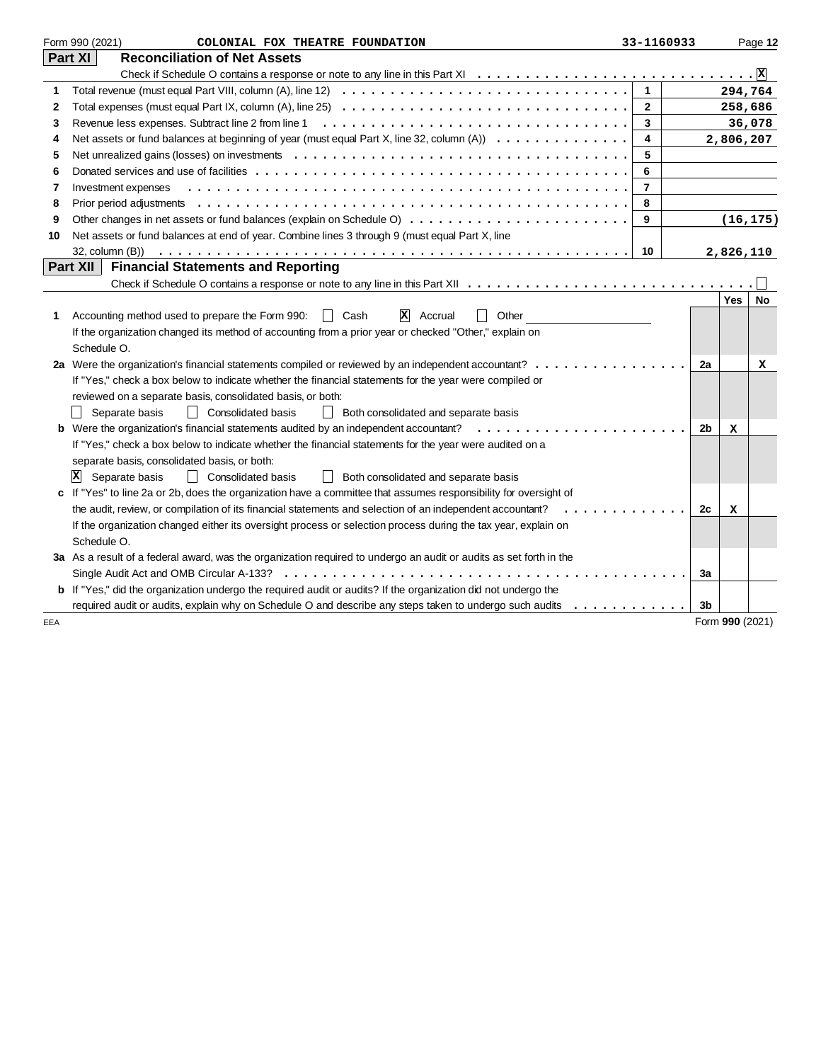|     | Form 990 (2021)<br>COLONIAL FOX THEATRE FOUNDATION                                                                                                                                   | 33-1160933     |                |                 | Page 12   |
|-----|--------------------------------------------------------------------------------------------------------------------------------------------------------------------------------------|----------------|----------------|-----------------|-----------|
|     | Part XI<br><b>Reconciliation of Net Assets</b>                                                                                                                                       |                |                |                 |           |
|     |                                                                                                                                                                                      |                |                |                 |           |
| 1   |                                                                                                                                                                                      | $\mathbf{1}$   |                | 294,764         |           |
| 2   |                                                                                                                                                                                      | $\overline{2}$ |                | 258,686         |           |
| 3   |                                                                                                                                                                                      | 3              |                |                 | 36,078    |
| 4   | Net assets or fund balances at beginning of year (must equal Part X, line 32, column (A)) $\dots \dots \dots \dots$                                                                  | 4              |                | 2,806,207       |           |
| 5   |                                                                                                                                                                                      | 5              |                |                 |           |
| 6   |                                                                                                                                                                                      | 6              |                |                 |           |
| 7   | Investment expenses                                                                                                                                                                  | $\overline{7}$ |                |                 |           |
| 8   |                                                                                                                                                                                      | 8              |                |                 |           |
| 9   |                                                                                                                                                                                      | 9              |                |                 | (16, 175) |
| 10  | Net assets or fund balances at end of year. Combine lines 3 through 9 (must equal Part X, line                                                                                       |                |                |                 |           |
|     | 32, column (B))                                                                                                                                                                      | 10             |                | 2,826,110       |           |
|     | Part XII<br><b>Financial Statements and Reporting</b>                                                                                                                                |                |                |                 |           |
|     |                                                                                                                                                                                      |                |                |                 |           |
|     |                                                                                                                                                                                      |                |                | <b>Yes</b>      | No        |
| 1   | $\vert x \vert$<br>Accounting method used to prepare the Form 990:<br>Accrual<br>Other<br>II Cash                                                                                    |                |                |                 |           |
|     | If the organization changed its method of accounting from a prior year or checked "Other," explain on                                                                                |                |                |                 |           |
|     | Schedule O.                                                                                                                                                                          |                |                |                 |           |
|     | 2a Were the organization's financial statements compiled or reviewed by an independent accountant?                                                                                   |                | 2a             |                 | x         |
|     | If "Yes," check a box below to indicate whether the financial statements for the year were compiled or                                                                               |                |                |                 |           |
|     | reviewed on a separate basis, consolidated basis, or both:                                                                                                                           |                |                |                 |           |
|     | <b>Consolidated basis</b><br>Separate basis<br>Both consolidated and separate basis<br>$\perp$                                                                                       |                |                |                 |           |
|     | <b>b</b> Were the organization's financial statements audited by an independent accountant?<br>.                                                                                     |                | 2 <sub>b</sub> | x               |           |
|     | If "Yes," check a box below to indicate whether the financial statements for the year were audited on a                                                                              |                |                |                 |           |
|     | separate basis, consolidated basis, or both:                                                                                                                                         |                |                |                 |           |
|     | Separate basis<br><b>Consolidated basis</b><br>Both consolidated and separate basis<br>Iх<br>$\perp$                                                                                 |                |                |                 |           |
|     | c If "Yes" to line 2a or 2b, does the organization have a committee that assumes responsibility for oversight of                                                                     |                |                |                 |           |
|     | the audit, review, or compilation of its financial statements and selection of an independent accountant?<br>$\overline{a}$ and $\overline{a}$ and $\overline{a}$ and $\overline{a}$ |                | 2c             | x               |           |
|     | If the organization changed either its oversight process or selection process during the tax year, explain on                                                                        |                |                |                 |           |
|     | Schedule O.                                                                                                                                                                          |                |                |                 |           |
|     | 3a As a result of a federal award, was the organization required to undergo an audit or audits as set forth in the                                                                   |                |                |                 |           |
|     | Single Audit Act and OMB Circular A-133?                                                                                                                                             |                | 3a             |                 |           |
|     | <b>b</b> If "Yes," did the organization undergo the required audit or audits? If the organization did not undergo the                                                                |                |                |                 |           |
|     | required audit or audits, explain why on Schedule O and describe any steps taken to undergo such audits                                                                              |                | 3b             |                 |           |
| EEA |                                                                                                                                                                                      |                |                | Form 990 (2021) |           |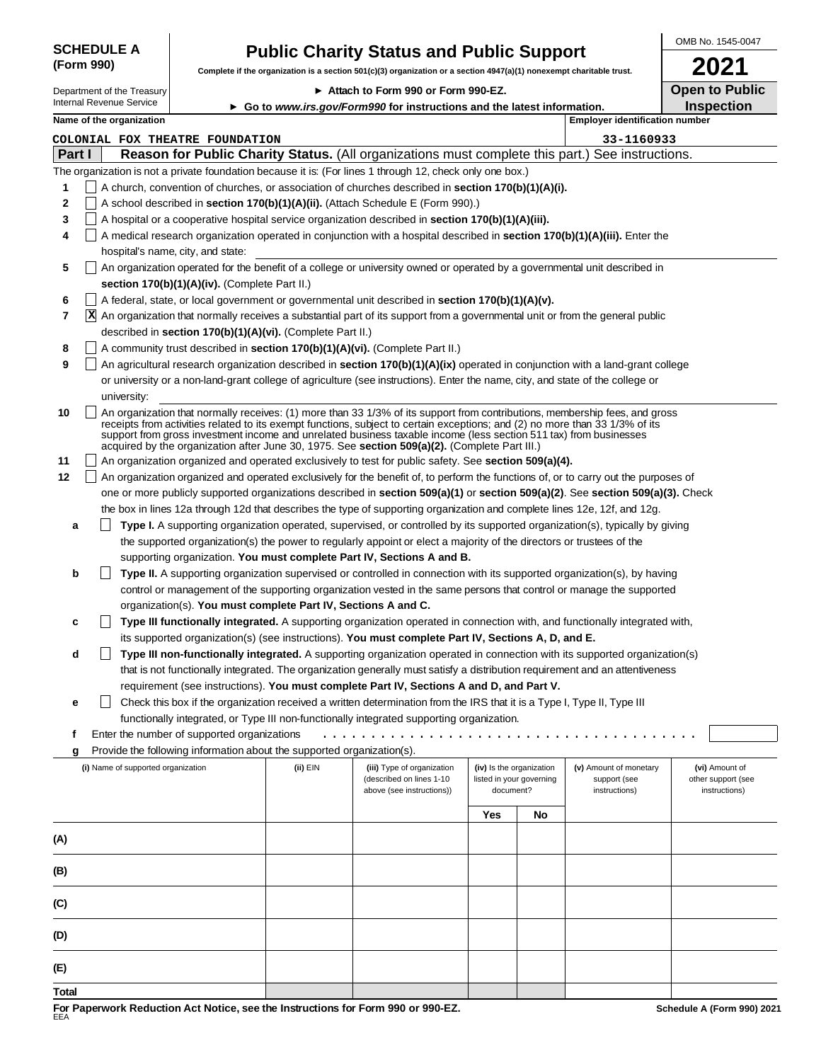|            | <b>SCHEDULE A</b> |  |
|------------|-------------------|--|
| (Form 990) |                   |  |

# **Public Charity Status and Public Support**

Complete if the organization is a section 501(c)(3) organization or a section 4947(a)(1) nonexempt charitable tri

Department of the Treasury Internal Revenue Service

| ► Attach to Form 990 or Form 990-EZ.                                     |
|--------------------------------------------------------------------------|
| ► Go to www.irs.gov/Form990 for instructions and the latest information. |

|      | OMB No. 1545-0047     |
|------|-----------------------|
| ust. | 2021                  |
|      | <b>Open to Public</b> |
|      | <b>Inspection</b>     |

|        | Name of the organization                                                                                                                                                                                                                                                                                                                                                                                                                                                          |          |                                                                                     |                                       |                          | <b>Employer identification number</b>                   |                                                       |
|--------|-----------------------------------------------------------------------------------------------------------------------------------------------------------------------------------------------------------------------------------------------------------------------------------------------------------------------------------------------------------------------------------------------------------------------------------------------------------------------------------|----------|-------------------------------------------------------------------------------------|---------------------------------------|--------------------------|---------------------------------------------------------|-------------------------------------------------------|
|        | COLONIAL FOX THEATRE FOUNDATION                                                                                                                                                                                                                                                                                                                                                                                                                                                   |          |                                                                                     |                                       |                          | 33-1160933                                              |                                                       |
| Part I | Reason for Public Charity Status. (All organizations must complete this part.) See instructions.                                                                                                                                                                                                                                                                                                                                                                                  |          |                                                                                     |                                       |                          |                                                         |                                                       |
|        | The organization is not a private foundation because it is: (For lines 1 through 12, check only one box.)                                                                                                                                                                                                                                                                                                                                                                         |          |                                                                                     |                                       |                          |                                                         |                                                       |
| 1      | A church, convention of churches, or association of churches described in section 170(b)(1)(A)(i).                                                                                                                                                                                                                                                                                                                                                                                |          |                                                                                     |                                       |                          |                                                         |                                                       |
| 2      | A school described in section 170(b)(1)(A)(ii). (Attach Schedule E (Form 990).)                                                                                                                                                                                                                                                                                                                                                                                                   |          |                                                                                     |                                       |                          |                                                         |                                                       |
| 3      | A hospital or a cooperative hospital service organization described in section 170(b)(1)(A)(iii).                                                                                                                                                                                                                                                                                                                                                                                 |          |                                                                                     |                                       |                          |                                                         |                                                       |
| 4      | A medical research organization operated in conjunction with a hospital described in section 170(b)(1)(A)(iii). Enter the                                                                                                                                                                                                                                                                                                                                                         |          |                                                                                     |                                       |                          |                                                         |                                                       |
|        | hospital's name, city, and state:                                                                                                                                                                                                                                                                                                                                                                                                                                                 |          |                                                                                     |                                       |                          |                                                         |                                                       |
| 5      | An organization operated for the benefit of a college or university owned or operated by a governmental unit described in                                                                                                                                                                                                                                                                                                                                                         |          |                                                                                     |                                       |                          |                                                         |                                                       |
|        | section 170(b)(1)(A)(iv). (Complete Part II.)                                                                                                                                                                                                                                                                                                                                                                                                                                     |          |                                                                                     |                                       |                          |                                                         |                                                       |
| 6      | A federal, state, or local government or governmental unit described in section 170(b)(1)(A)(v).                                                                                                                                                                                                                                                                                                                                                                                  |          |                                                                                     |                                       |                          |                                                         |                                                       |
| 7      |                                                                                                                                                                                                                                                                                                                                                                                                                                                                                   |          |                                                                                     |                                       |                          |                                                         |                                                       |
|        | X An organization that normally receives a substantial part of its support from a governmental unit or from the general public                                                                                                                                                                                                                                                                                                                                                    |          |                                                                                     |                                       |                          |                                                         |                                                       |
|        | described in section 170(b)(1)(A)(vi). (Complete Part II.)                                                                                                                                                                                                                                                                                                                                                                                                                        |          |                                                                                     |                                       |                          |                                                         |                                                       |
| 8      | A community trust described in section 170(b)(1)(A)(vi). (Complete Part II.)                                                                                                                                                                                                                                                                                                                                                                                                      |          |                                                                                     |                                       |                          |                                                         |                                                       |
| 9      | An agricultural research organization described in section 170(b)(1)(A)(ix) operated in conjunction with a land-grant college                                                                                                                                                                                                                                                                                                                                                     |          |                                                                                     |                                       |                          |                                                         |                                                       |
|        | or university or a non-land-grant college of agriculture (see instructions). Enter the name, city, and state of the college or                                                                                                                                                                                                                                                                                                                                                    |          |                                                                                     |                                       |                          |                                                         |                                                       |
|        | university:                                                                                                                                                                                                                                                                                                                                                                                                                                                                       |          |                                                                                     |                                       |                          |                                                         |                                                       |
| 10     | An organization that normally receives: (1) more than 33 1/3% of its support from contributions, membership fees, and gross<br>receipts from activities related to its exempt functions, subject to certain exceptions; and (2) no more than 33 1/3% of its<br>support from gross investment income and unrelated business taxable income (less section 511 tax) from businesses<br>acquired by the organization after June 30, 1975. See section 509(a)(2). (Complete Part III.) |          |                                                                                     |                                       |                          |                                                         |                                                       |
| 11     | An organization organized and operated exclusively to test for public safety. See section 509(a)(4).                                                                                                                                                                                                                                                                                                                                                                              |          |                                                                                     |                                       |                          |                                                         |                                                       |
| 12     | An organization organized and operated exclusively for the benefit of, to perform the functions of, or to carry out the purposes of                                                                                                                                                                                                                                                                                                                                               |          |                                                                                     |                                       |                          |                                                         |                                                       |
|        | one or more publicly supported organizations described in section 509(a)(1) or section 509(a)(2). See section 509(a)(3). Check                                                                                                                                                                                                                                                                                                                                                    |          |                                                                                     |                                       |                          |                                                         |                                                       |
|        | the box in lines 12a through 12d that describes the type of supporting organization and complete lines 12e, 12f, and 12g.                                                                                                                                                                                                                                                                                                                                                         |          |                                                                                     |                                       |                          |                                                         |                                                       |
| а      | Type I. A supporting organization operated, supervised, or controlled by its supported organization(s), typically by giving                                                                                                                                                                                                                                                                                                                                                       |          |                                                                                     |                                       |                          |                                                         |                                                       |
|        | the supported organization(s) the power to regularly appoint or elect a majority of the directors or trustees of the                                                                                                                                                                                                                                                                                                                                                              |          |                                                                                     |                                       |                          |                                                         |                                                       |
|        | supporting organization. You must complete Part IV, Sections A and B.                                                                                                                                                                                                                                                                                                                                                                                                             |          |                                                                                     |                                       |                          |                                                         |                                                       |
| b      | Type II. A supporting organization supervised or controlled in connection with its supported organization(s), by having                                                                                                                                                                                                                                                                                                                                                           |          |                                                                                     |                                       |                          |                                                         |                                                       |
|        | control or management of the supporting organization vested in the same persons that control or manage the supported                                                                                                                                                                                                                                                                                                                                                              |          |                                                                                     |                                       |                          |                                                         |                                                       |
|        | organization(s). You must complete Part IV, Sections A and C.                                                                                                                                                                                                                                                                                                                                                                                                                     |          |                                                                                     |                                       |                          |                                                         |                                                       |
| c      | Type III functionally integrated. A supporting organization operated in connection with, and functionally integrated with,                                                                                                                                                                                                                                                                                                                                                        |          |                                                                                     |                                       |                          |                                                         |                                                       |
|        | its supported organization(s) (see instructions). You must complete Part IV, Sections A, D, and E.                                                                                                                                                                                                                                                                                                                                                                                |          |                                                                                     |                                       |                          |                                                         |                                                       |
| d      | Type III non-functionally integrated. A supporting organization operated in connection with its supported organization(s)                                                                                                                                                                                                                                                                                                                                                         |          |                                                                                     |                                       |                          |                                                         |                                                       |
|        | that is not functionally integrated. The organization generally must satisfy a distribution requirement and an attentiveness                                                                                                                                                                                                                                                                                                                                                      |          |                                                                                     |                                       |                          |                                                         |                                                       |
|        | requirement (see instructions). You must complete Part IV, Sections A and D, and Part V.                                                                                                                                                                                                                                                                                                                                                                                          |          |                                                                                     |                                       |                          |                                                         |                                                       |
| е      | Check this box if the organization received a written determination from the IRS that it is a Type I, Type II, Type III                                                                                                                                                                                                                                                                                                                                                           |          |                                                                                     |                                       |                          |                                                         |                                                       |
|        | functionally integrated, or Type III non-functionally integrated supporting organization.                                                                                                                                                                                                                                                                                                                                                                                         |          |                                                                                     |                                       |                          |                                                         |                                                       |
| f      | Enter the number of supported organizations                                                                                                                                                                                                                                                                                                                                                                                                                                       |          |                                                                                     |                                       |                          |                                                         |                                                       |
|        | Provide the following information about the supported organization(s).                                                                                                                                                                                                                                                                                                                                                                                                            |          |                                                                                     |                                       |                          |                                                         |                                                       |
| g      |                                                                                                                                                                                                                                                                                                                                                                                                                                                                                   |          |                                                                                     |                                       |                          |                                                         |                                                       |
|        | (i) Name of supported organization                                                                                                                                                                                                                                                                                                                                                                                                                                                | (ii) EIN | (iii) Type of organization<br>(described on lines 1-10<br>above (see instructions)) | (iv) Is the organization<br>document? | listed in your governing | (v) Amount of monetary<br>support (see<br>instructions) | (vi) Amount of<br>other support (see<br>instructions) |
|        |                                                                                                                                                                                                                                                                                                                                                                                                                                                                                   |          |                                                                                     | Yes                                   | No                       |                                                         |                                                       |
|        |                                                                                                                                                                                                                                                                                                                                                                                                                                                                                   |          |                                                                                     |                                       |                          |                                                         |                                                       |
| (A)    |                                                                                                                                                                                                                                                                                                                                                                                                                                                                                   |          |                                                                                     |                                       |                          |                                                         |                                                       |
| (B)    |                                                                                                                                                                                                                                                                                                                                                                                                                                                                                   |          |                                                                                     |                                       |                          |                                                         |                                                       |
| (C)    |                                                                                                                                                                                                                                                                                                                                                                                                                                                                                   |          |                                                                                     |                                       |                          |                                                         |                                                       |
| (D)    |                                                                                                                                                                                                                                                                                                                                                                                                                                                                                   |          |                                                                                     |                                       |                          |                                                         |                                                       |
| (E)    |                                                                                                                                                                                                                                                                                                                                                                                                                                                                                   |          |                                                                                     |                                       |                          |                                                         |                                                       |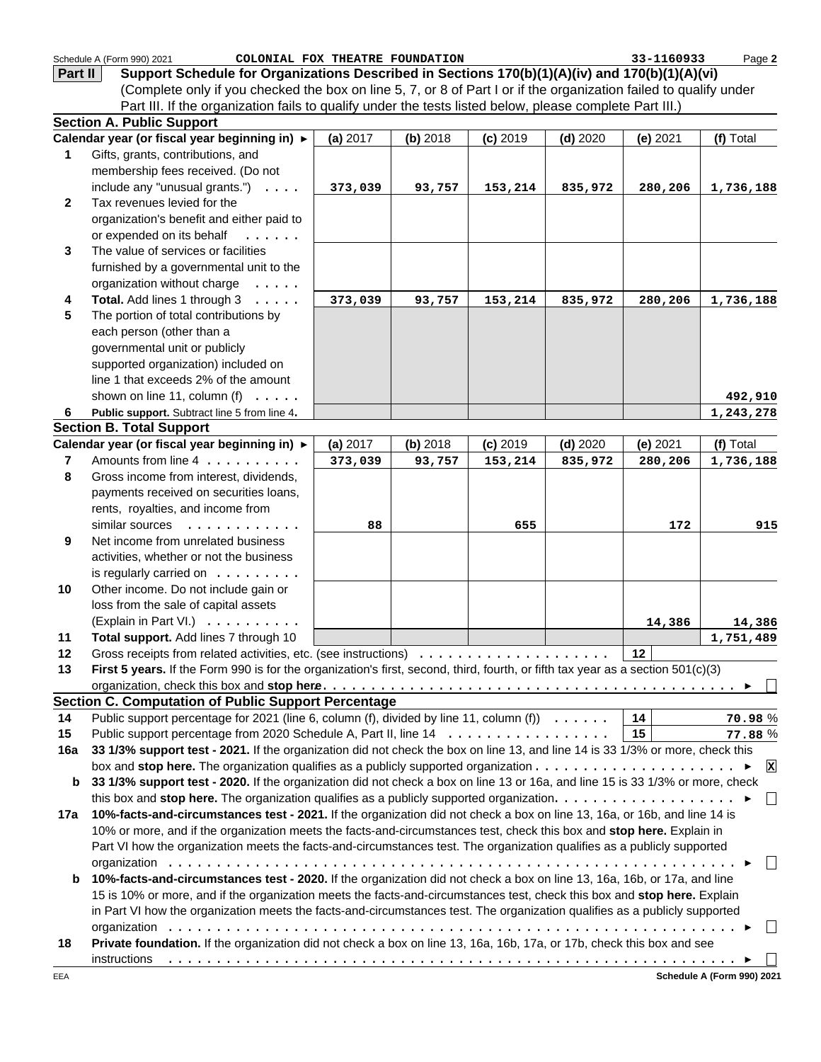|                         | Schedule A (Form 990) 2021<br>COLONIAL FOX THEATRE FOUNDATION                                                                   |          |          |            |            | 33-1160933 | Page 2          |
|-------------------------|---------------------------------------------------------------------------------------------------------------------------------|----------|----------|------------|------------|------------|-----------------|
| Part II                 | Support Schedule for Organizations Described in Sections 170(b)(1)(A)(iv) and 170(b)(1)(A)(vi)                                  |          |          |            |            |            |                 |
|                         | (Complete only if you checked the box on line 5, 7, or 8 of Part I or if the organization failed to qualify under               |          |          |            |            |            |                 |
|                         | Part III. If the organization fails to qualify under the tests listed below, please complete Part III.)                         |          |          |            |            |            |                 |
|                         | <b>Section A. Public Support</b>                                                                                                |          |          |            |            |            |                 |
|                         | Calendar year (or fiscal year beginning in) ▶                                                                                   | (a) 2017 | (b) 2018 | $(c)$ 2019 | $(d)$ 2020 | (e) 2021   | (f) Total       |
| 1                       | Gifts, grants, contributions, and                                                                                               |          |          |            |            |            |                 |
|                         | membership fees received. (Do not                                                                                               |          |          |            |            |            |                 |
|                         | include any "unusual grants.") $\ldots$ .                                                                                       | 373,039  | 93,757   | 153,214    | 835,972    | 280,206    | 1,736,188       |
| $\mathbf{2}$            | Tax revenues levied for the                                                                                                     |          |          |            |            |            |                 |
|                         | organization's benefit and either paid to                                                                                       |          |          |            |            |            |                 |
|                         | or expended on its behalf<br>1.1.1.1.1                                                                                          |          |          |            |            |            |                 |
| 3                       | The value of services or facilities                                                                                             |          |          |            |            |            |                 |
|                         | furnished by a governmental unit to the                                                                                         |          |          |            |            |            |                 |
|                         | organization without charge                                                                                                     |          |          |            |            |            |                 |
| 4                       | Total. Add lines 1 through 3                                                                                                    | 373,039  | 93,757   |            | 835,972    | 280,206    |                 |
| 5                       | The portion of total contributions by                                                                                           |          |          | 153,214    |            |            | 1,736,188       |
|                         |                                                                                                                                 |          |          |            |            |            |                 |
|                         | each person (other than a                                                                                                       |          |          |            |            |            |                 |
|                         | governmental unit or publicly                                                                                                   |          |          |            |            |            |                 |
|                         | supported organization) included on                                                                                             |          |          |            |            |            |                 |
|                         | line 1 that exceeds 2% of the amount                                                                                            |          |          |            |            |            |                 |
|                         | shown on line 11, column (f) $\ldots$ .                                                                                         |          |          |            |            |            | 492,910         |
| 6                       | Public support. Subtract line 5 from line 4.                                                                                    |          |          |            |            |            | 1,243,278       |
|                         | <b>Section B. Total Support</b>                                                                                                 |          |          |            |            |            |                 |
|                         | Calendar year (or fiscal year beginning in) ►                                                                                   | (a) 2017 | (b) 2018 | $(c)$ 2019 | $(d)$ 2020 | (e) 2021   | (f) Total       |
| $\overline{\mathbf{r}}$ | Amounts from line 4                                                                                                             | 373,039  | 93,757   | 153,214    | 835,972    | 280,206    | 1,736,188       |
| 8                       | Gross income from interest, dividends,                                                                                          |          |          |            |            |            |                 |
|                         | payments received on securities loans,                                                                                          |          |          |            |            |            |                 |
|                         | rents, royalties, and income from                                                                                               |          |          |            |            |            |                 |
|                         | similar sources<br>.                                                                                                            | 88       |          | 655        |            | 172        | 915             |
| 9                       | Net income from unrelated business                                                                                              |          |          |            |            |            |                 |
|                         | activities, whether or not the business                                                                                         |          |          |            |            |            |                 |
|                         | is regularly carried on $\dots \dots$                                                                                           |          |          |            |            |            |                 |
| 10                      | Other income. Do not include gain or                                                                                            |          |          |            |            |            |                 |
|                         | loss from the sale of capital assets                                                                                            |          |          |            |            |            |                 |
|                         | (Explain in Part VI.)                                                                                                           |          |          |            |            | 14,386     | 14,386          |
| 11                      | Total support. Add lines 7 through 10                                                                                           |          |          |            |            |            | 1,751,489       |
| 12                      | Gross receipts from related activities, etc. (see instructions)                                                                 |          |          |            |            | 12         |                 |
| 13                      | First 5 years. If the Form 990 is for the organization's first, second, third, fourth, or fifth tax year as a section 501(c)(3) |          |          |            |            |            |                 |
|                         |                                                                                                                                 |          |          |            |            |            |                 |
|                         | <b>Section C. Computation of Public Support Percentage</b>                                                                      |          |          |            |            |            |                 |
| 14                      | Public support percentage for 2021 (line 6, column (f), divided by line 11, column (f) $\dots \dots$                            |          |          |            |            | 14         | 70.98%          |
| 15                      | Public support percentage from 2020 Schedule A, Part II, line 14                                                                |          |          |            |            | 15         | 77.88%          |
| 16a                     | 33 1/3% support test - 2021. If the organization did not check the box on line 13, and line 14 is 33 1/3% or more, check this   |          |          |            |            |            |                 |
|                         |                                                                                                                                 |          |          |            |            |            | $\vert x \vert$ |
| b                       | 33 1/3% support test - 2020. If the organization did not check a box on line 13 or 16a, and line 15 is 33 1/3% or more, check   |          |          |            |            |            |                 |
|                         | this box and stop here. The organization qualifies as a publicly supported organization. $\ldots \ldots \ldots \ldots \ldots$   |          |          |            |            |            | $\Box$          |
| 17a                     | 10%-facts-and-circumstances test - 2021. If the organization did not check a box on line 13, 16a, or 16b, and line 14 is        |          |          |            |            |            |                 |
|                         | 10% or more, and if the organization meets the facts-and-circumstances test, check this box and stop here. Explain in           |          |          |            |            |            |                 |
|                         | Part VI how the organization meets the facts-and-circumstances test. The organization qualifies as a publicly supported         |          |          |            |            |            |                 |
|                         |                                                                                                                                 |          |          |            |            |            | $\vert \vert$   |
| b                       | 10%-facts-and-circumstances test - 2020. If the organization did not check a box on line 13, 16a, 16b, or 17a, and line         |          |          |            |            |            |                 |
|                         | 15 is 10% or more, and if the organization meets the facts-and-circumstances test, check this box and stop here. Explain        |          |          |            |            |            |                 |
|                         | in Part VI how the organization meets the facts-and-circumstances test. The organization qualifies as a publicly supported      |          |          |            |            |            |                 |
|                         |                                                                                                                                 |          |          |            |            |            | $\blacksquare$  |
| 18                      | Private foundation. If the organization did not check a box on line 13, 16a, 16b, 17a, or 17b, check this box and see           |          |          |            |            |            |                 |
|                         | instructions                                                                                                                    |          |          |            |            |            |                 |
|                         |                                                                                                                                 |          |          |            |            |            |                 |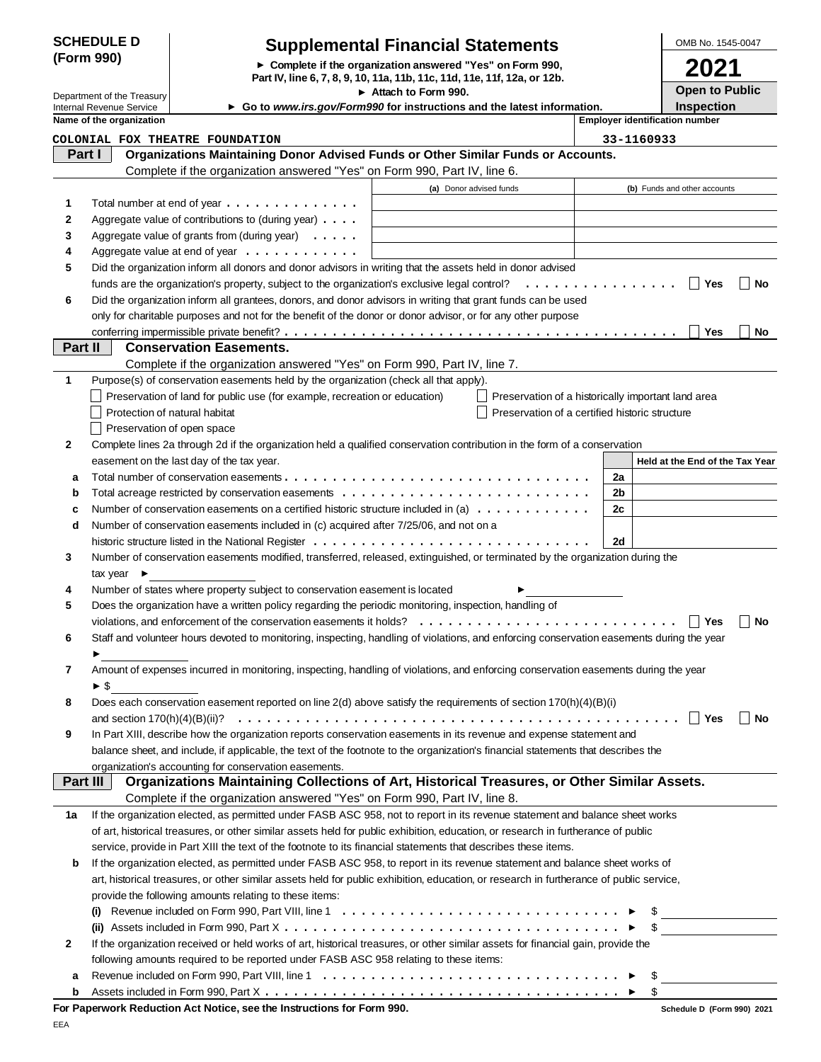## **SCHEDULE D (Form 990)**

## **Supplemental Financial Statements**

**Complete if the organization answered "Yes" on Form 990,**

OMB No. 1545-0047 **2021**

| Internal Revenue Service   |  |
|----------------------------|--|
| Department of the Treasury |  |

|                            |                                | Part IV, line 6, 7, 8, 9, 10, 11a, 11b, 11c, 11d, 11e, 11f, 12a, or 12b.                                                                  |                                      |                                                    |    |                                       | ZUZ I                 |                      |
|----------------------------|--------------------------------|-------------------------------------------------------------------------------------------------------------------------------------------|--------------------------------------|----------------------------------------------------|----|---------------------------------------|-----------------------|----------------------|
| Department of the Treasury |                                |                                                                                                                                           | $\triangleright$ Attach to Form 990. |                                                    |    |                                       | <b>Open to Public</b> |                      |
|                            | Internal Revenue Service       | Go to www.irs.gov/Form990 for instructions and the latest information.                                                                    |                                      |                                                    |    |                                       | <b>Inspection</b>     |                      |
|                            | Name of the organization       |                                                                                                                                           |                                      |                                                    |    | <b>Employer identification number</b> |                       |                      |
|                            |                                | COLONIAL FOX THEATRE FOUNDATION                                                                                                           |                                      |                                                    |    | 33-1160933                            |                       |                      |
| Part I                     |                                | Organizations Maintaining Donor Advised Funds or Other Similar Funds or Accounts.                                                         |                                      |                                                    |    |                                       |                       |                      |
|                            |                                | Complete if the organization answered "Yes" on Form 990, Part IV, line 6.                                                                 |                                      |                                                    |    |                                       |                       |                      |
|                            |                                |                                                                                                                                           | (a) Donor advised funds              |                                                    |    | (b) Funds and other accounts          |                       |                      |
| 1                          |                                | Total number at end of year                                                                                                               |                                      |                                                    |    |                                       |                       |                      |
| 2                          |                                | Aggregate value of contributions to (during year)                                                                                         |                                      |                                                    |    |                                       |                       |                      |
| 3                          |                                | Aggregate value of grants from (during year) $\ldots$ .                                                                                   |                                      |                                                    |    |                                       |                       |                      |
| 4                          |                                | Aggregate value at end of year                                                                                                            |                                      |                                                    |    |                                       |                       |                      |
| 5                          |                                | Did the organization inform all donors and donor advisors in writing that the assets held in donor advised                                |                                      |                                                    |    |                                       |                       |                      |
|                            |                                | funds are the organization's property, subject to the organization's exclusive legal control?                                             |                                      |                                                    |    |                                       | ∣ Yes                 | $\blacksquare$<br>No |
| 6                          |                                | Did the organization inform all grantees, donors, and donor advisors in writing that grant funds can be used                              |                                      |                                                    |    |                                       |                       |                      |
|                            |                                | only for charitable purposes and not for the benefit of the donor or donor advisor, or for any other purpose                              |                                      |                                                    |    |                                       |                       |                      |
|                            |                                |                                                                                                                                           |                                      |                                                    |    |                                       | Yes                   | No                   |
| Part II                    |                                | <b>Conservation Easements.</b>                                                                                                            |                                      |                                                    |    |                                       |                       |                      |
|                            |                                | Complete if the organization answered "Yes" on Form 990, Part IV, line 7.                                                                 |                                      |                                                    |    |                                       |                       |                      |
| 1                          |                                | Purpose(s) of conservation easements held by the organization (check all that apply).                                                     |                                      |                                                    |    |                                       |                       |                      |
|                            |                                | Preservation of land for public use (for example, recreation or education)                                                                |                                      | Preservation of a historically important land area |    |                                       |                       |                      |
|                            |                                | Protection of natural habitat                                                                                                             |                                      | Preservation of a certified historic structure     |    |                                       |                       |                      |
|                            |                                | Preservation of open space                                                                                                                |                                      |                                                    |    |                                       |                       |                      |
| 2                          |                                | Complete lines 2a through 2d if the organization held a qualified conservation contribution in the form of a conservation                 |                                      |                                                    |    |                                       |                       |                      |
|                            |                                | easement on the last day of the tax year.                                                                                                 |                                      |                                                    |    | Held at the End of the Tax Year       |                       |                      |
| а                          |                                |                                                                                                                                           |                                      |                                                    | 2a |                                       |                       |                      |
| b                          |                                |                                                                                                                                           |                                      |                                                    | 2b |                                       |                       |                      |
| c                          |                                | Number of conservation easements on a certified historic structure included in (a) $\dots \dots \dots \dots$                              |                                      |                                                    | 2c |                                       |                       |                      |
| d                          |                                | Number of conservation easements included in (c) acquired after 7/25/06, and not on a                                                     |                                      |                                                    |    |                                       |                       |                      |
|                            |                                |                                                                                                                                           |                                      |                                                    | 2d |                                       |                       |                      |
| 3                          |                                | Number of conservation easements modified, transferred, released, extinguished, or terminated by the organization during the              |                                      |                                                    |    |                                       |                       |                      |
|                            | tax year $\blacktriangleright$ |                                                                                                                                           |                                      |                                                    |    |                                       |                       |                      |
| 4                          |                                | Number of states where property subject to conservation easement is located                                                               |                                      |                                                    |    |                                       |                       |                      |
| 5                          |                                | Does the organization have a written policy regarding the periodic monitoring, inspection, handling of                                    |                                      |                                                    |    |                                       |                       |                      |
|                            |                                |                                                                                                                                           |                                      |                                                    |    |                                       | Yes                   | $\mathbf{I}$<br>No   |
| 6                          |                                | Staff and volunteer hours devoted to monitoring, inspecting, handling of violations, and enforcing conservation easements during the year |                                      |                                                    |    |                                       |                       |                      |
|                            |                                |                                                                                                                                           |                                      |                                                    |    |                                       |                       |                      |
|                            |                                | Amount of expenses incurred in monitoring, inspecting, handling of violations, and enforcing conservation easements during the year       |                                      |                                                    |    |                                       |                       |                      |
|                            | ► \$                           |                                                                                                                                           |                                      |                                                    |    |                                       |                       |                      |
| 8                          |                                | Does each conservation easement reported on line 2(d) above satisfy the requirements of section 170(h)(4)(B)(i)                           |                                      |                                                    |    |                                       |                       |                      |
|                            |                                |                                                                                                                                           |                                      |                                                    |    |                                       | ∣ Yes                 | No                   |
| 9                          |                                | In Part XIII, describe how the organization reports conservation easements in its revenue and expense statement and                       |                                      |                                                    |    |                                       |                       |                      |
|                            |                                | balance sheet, and include, if applicable, the text of the footnote to the organization's financial statements that describes the         |                                      |                                                    |    |                                       |                       |                      |
|                            |                                | organization's accounting for conservation easements.                                                                                     |                                      |                                                    |    |                                       |                       |                      |
| Part III                   |                                | Organizations Maintaining Collections of Art, Historical Treasures, or Other Similar Assets.                                              |                                      |                                                    |    |                                       |                       |                      |
|                            |                                | Complete if the organization answered "Yes" on Form 990, Part IV, line 8.                                                                 |                                      |                                                    |    |                                       |                       |                      |
| 1a                         |                                | If the organization elected, as permitted under FASB ASC 958, not to report in its revenue statement and balance sheet works              |                                      |                                                    |    |                                       |                       |                      |
|                            |                                | of art, historical treasures, or other similar assets held for public exhibition, education, or research in furtherance of public         |                                      |                                                    |    |                                       |                       |                      |
|                            |                                | service, provide in Part XIII the text of the footnote to its financial statements that describes these items.                            |                                      |                                                    |    |                                       |                       |                      |
| b                          |                                | If the organization elected, as permitted under FASB ASC 958, to report in its revenue statement and balance sheet works of               |                                      |                                                    |    |                                       |                       |                      |
|                            |                                | art, historical treasures, or other similar assets held for public exhibition, education, or research in furtherance of public service,   |                                      |                                                    |    |                                       |                       |                      |
|                            |                                | provide the following amounts relating to these items:                                                                                    |                                      |                                                    |    |                                       |                       |                      |
|                            |                                |                                                                                                                                           |                                      |                                                    |    | $\mathbb{S}$                          |                       |                      |
|                            |                                |                                                                                                                                           |                                      |                                                    |    | $\mathcal{S}$                         |                       |                      |
| 2                          |                                | If the organization received or held works of art, historical treasures, or other similar assets for financial gain, provide the          |                                      |                                                    |    |                                       |                       |                      |

| 2 If the organization received or held works of art, historical treasures, or other similar assets for financial gain, provide the                                                |
|-----------------------------------------------------------------------------------------------------------------------------------------------------------------------------------|
| following amounts required to be reported under FASB ASC 958 relating to these items:                                                                                             |
| <b>a</b> Revenue included on Form 990, Part VIII, line 1 $\dots$ , $\dots$ , $\dots$ , $\dots$ , $\dots$ , $\dots$ , $\dots$ , $\dots$ , $\triangleright$ \$                      |
| <b>b</b> Assets included in Form 990, Part X $\ldots$ $\ldots$ $\ldots$ $\ldots$ $\ldots$ $\ldots$ $\ldots$ $\ldots$ $\ldots$ $\ldots$ $\ldots$ $\ldots$ $\blacktriangleright$ \$ |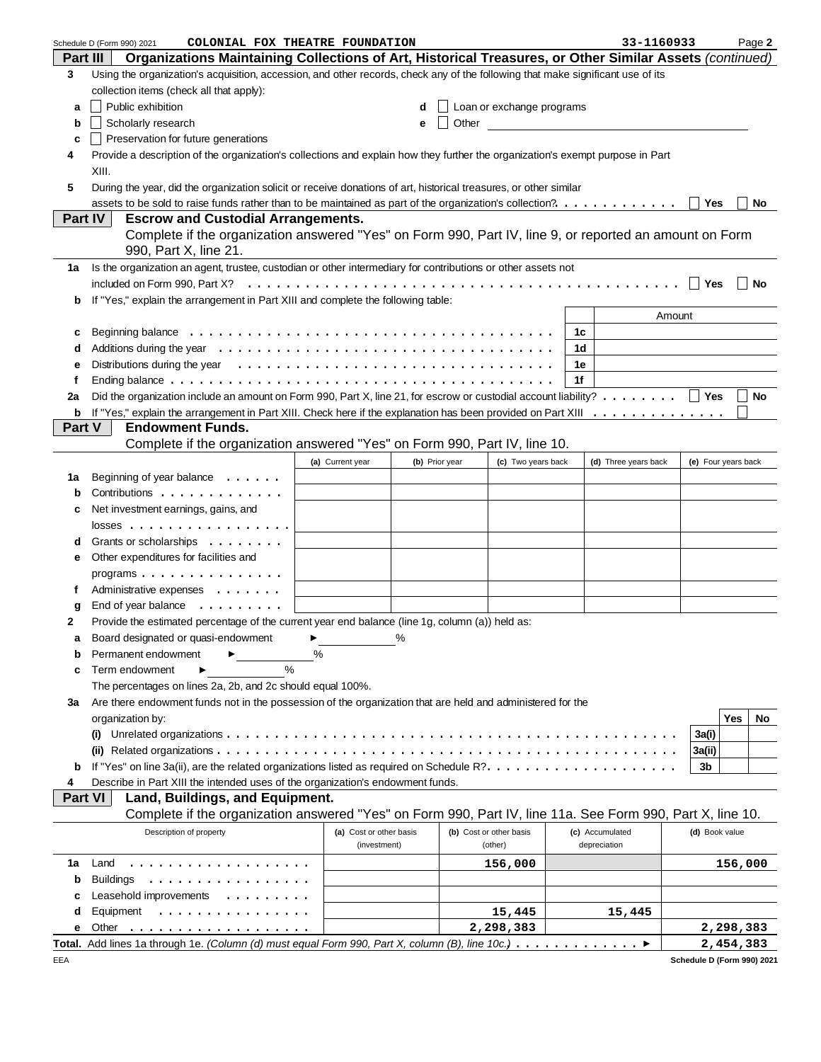|                 | COLONIAL FOX THEATRE FOUNDATION<br>Schedule D (Form 990) 2021                                                                          |   |                         |                |                                                                                                                                                                                                                               |    | 33-1160933           |        |                            |         | Page 2                      |
|-----------------|----------------------------------------------------------------------------------------------------------------------------------------|---|-------------------------|----------------|-------------------------------------------------------------------------------------------------------------------------------------------------------------------------------------------------------------------------------|----|----------------------|--------|----------------------------|---------|-----------------------------|
| <b>Part III</b> | Organizations Maintaining Collections of Art, Historical Treasures, or Other Similar Assets (continued)                                |   |                         |                |                                                                                                                                                                                                                               |    |                      |        |                            |         |                             |
| 3               | Using the organization's acquisition, accession, and other records, check any of the following that make significant use of its        |   |                         |                |                                                                                                                                                                                                                               |    |                      |        |                            |         |                             |
|                 | collection items (check all that apply):                                                                                               |   |                         |                |                                                                                                                                                                                                                               |    |                      |        |                            |         |                             |
| a               | Public exhibition                                                                                                                      |   |                         | d              | Loan or exchange programs                                                                                                                                                                                                     |    |                      |        |                            |         |                             |
| b               | Scholarly research                                                                                                                     |   |                         | е              | Other and the contract of the contract of the contract of the contract of the contract of the contract of the contract of the contract of the contract of the contract of the contract of the contract of the contract of the |    |                      |        |                            |         |                             |
| c               | Preservation for future generations                                                                                                    |   |                         |                |                                                                                                                                                                                                                               |    |                      |        |                            |         |                             |
| 4               | Provide a description of the organization's collections and explain how they further the organization's exempt purpose in Part         |   |                         |                |                                                                                                                                                                                                                               |    |                      |        |                            |         |                             |
|                 | XIII.                                                                                                                                  |   |                         |                |                                                                                                                                                                                                                               |    |                      |        |                            |         |                             |
| 5               | During the year, did the organization solicit or receive donations of art, historical treasures, or other similar                      |   |                         |                |                                                                                                                                                                                                                               |    |                      |        |                            |         |                             |
|                 | assets to be sold to raise funds rather than to be maintained as part of the organization's collection?.                               |   |                         |                |                                                                                                                                                                                                                               |    |                      |        | Yes                        |         | No                          |
|                 | <b>Escrow and Custodial Arrangements.</b><br>Part IV                                                                                   |   |                         |                |                                                                                                                                                                                                                               |    |                      |        |                            |         |                             |
|                 | Complete if the organization answered "Yes" on Form 990, Part IV, line 9, or reported an amount on Form                                |   |                         |                |                                                                                                                                                                                                                               |    |                      |        |                            |         |                             |
|                 |                                                                                                                                        |   |                         |                |                                                                                                                                                                                                                               |    |                      |        |                            |         |                             |
|                 | 990, Part X, line 21.                                                                                                                  |   |                         |                |                                                                                                                                                                                                                               |    |                      |        |                            |         |                             |
| 1a              | Is the organization an agent, trustee, custodian or other intermediary for contributions or other assets not                           |   |                         |                |                                                                                                                                                                                                                               |    |                      |        |                            |         |                             |
|                 |                                                                                                                                        |   |                         |                |                                                                                                                                                                                                                               |    |                      |        | <b>Yes</b>                 |         | $\blacksquare$ No           |
| b               | If "Yes," explain the arrangement in Part XIII and complete the following table:                                                       |   |                         |                |                                                                                                                                                                                                                               |    |                      |        |                            |         |                             |
|                 |                                                                                                                                        |   |                         |                |                                                                                                                                                                                                                               |    |                      | Amount |                            |         |                             |
| c               |                                                                                                                                        |   |                         |                |                                                                                                                                                                                                                               | 1c |                      |        |                            |         |                             |
| d               |                                                                                                                                        |   |                         |                |                                                                                                                                                                                                                               | 1d |                      |        |                            |         |                             |
| е               | Distributions during the year $\ldots \ldots \ldots \ldots \ldots \ldots \ldots \ldots \ldots \ldots \ldots$                           |   |                         |                |                                                                                                                                                                                                                               | 1e |                      |        |                            |         |                             |
| f               |                                                                                                                                        |   |                         |                |                                                                                                                                                                                                                               | 1f |                      |        |                            |         |                             |
| 2a              | Did the organization include an amount on Form 990, Part X, line 21, for escrow or custodial account liability? $\ldots \ldots \ldots$ |   |                         |                |                                                                                                                                                                                                                               |    |                      |        |                            |         | $\overline{\phantom{a}}$ No |
| b               | If "Yes," explain the arrangement in Part XIII. Check here if the explanation has been provided on Part XIII                           |   |                         |                |                                                                                                                                                                                                                               |    |                      |        |                            |         |                             |
| Part V          | <b>Endowment Funds.</b>                                                                                                                |   |                         |                |                                                                                                                                                                                                                               |    |                      |        |                            |         |                             |
|                 | Complete if the organization answered "Yes" on Form 990, Part IV, line 10.                                                             |   |                         |                |                                                                                                                                                                                                                               |    |                      |        |                            |         |                             |
|                 |                                                                                                                                        |   | (a) Current year        | (b) Prior year | (c) Two years back                                                                                                                                                                                                            |    | (d) Three years back |        | (e) Four years back        |         |                             |
| 1a              | Beginning of year balance $\dots \dots$                                                                                                |   |                         |                |                                                                                                                                                                                                                               |    |                      |        |                            |         |                             |
| b               | Contributions                                                                                                                          |   |                         |                |                                                                                                                                                                                                                               |    |                      |        |                            |         |                             |
| c               | Net investment earnings, gains, and                                                                                                    |   |                         |                |                                                                                                                                                                                                                               |    |                      |        |                            |         |                             |
|                 | $losses$                                                                                                                               |   |                         |                |                                                                                                                                                                                                                               |    |                      |        |                            |         |                             |
| d               | Grants or scholarships                                                                                                                 |   |                         |                |                                                                                                                                                                                                                               |    |                      |        |                            |         |                             |
| е               | Other expenditures for facilities and                                                                                                  |   |                         |                |                                                                                                                                                                                                                               |    |                      |        |                            |         |                             |
|                 | programs                                                                                                                               |   |                         |                |                                                                                                                                                                                                                               |    |                      |        |                            |         |                             |
| f               | Administrative expenses                                                                                                                |   |                         |                |                                                                                                                                                                                                                               |    |                      |        |                            |         |                             |
| g               | End of year balance $\ldots \ldots \ldots$                                                                                             |   |                         |                |                                                                                                                                                                                                                               |    |                      |        |                            |         |                             |
| 2               | Provide the estimated percentage of the current year end balance (line 1g, column (a)) held as:                                        |   |                         |                |                                                                                                                                                                                                                               |    |                      |        |                            |         |                             |
|                 | Board designated or quasi-endowment $\blacktriangleright$                                                                              |   |                         |                |                                                                                                                                                                                                                               |    |                      |        |                            |         |                             |
|                 | Permanent endowment                                                                                                                    | % |                         |                |                                                                                                                                                                                                                               |    |                      |        |                            |         |                             |
| b               | $\frac{0}{0}$                                                                                                                          |   |                         |                |                                                                                                                                                                                                                               |    |                      |        |                            |         |                             |
| С               | Term endowment                                                                                                                         |   |                         |                |                                                                                                                                                                                                                               |    |                      |        |                            |         |                             |
|                 | The percentages on lines 2a, 2b, and 2c should equal 100%.                                                                             |   |                         |                |                                                                                                                                                                                                                               |    |                      |        |                            |         |                             |
| За              | Are there endowment funds not in the possession of the organization that are held and administered for the                             |   |                         |                |                                                                                                                                                                                                                               |    |                      |        |                            |         |                             |
|                 | organization by:                                                                                                                       |   |                         |                |                                                                                                                                                                                                                               |    |                      |        |                            | Yes     | No                          |
|                 | (i)                                                                                                                                    |   |                         |                |                                                                                                                                                                                                                               |    |                      |        | 3a(i)                      |         |                             |
|                 |                                                                                                                                        |   |                         |                |                                                                                                                                                                                                                               |    |                      |        | 3a(ii)                     |         |                             |
| b               |                                                                                                                                        |   |                         |                |                                                                                                                                                                                                                               |    |                      |        | 3b                         |         |                             |
| 4               | Describe in Part XIII the intended uses of the organization's endowment funds.                                                         |   |                         |                |                                                                                                                                                                                                                               |    |                      |        |                            |         |                             |
| <b>Part VI</b>  | Land, Buildings, and Equipment.                                                                                                        |   |                         |                |                                                                                                                                                                                                                               |    |                      |        |                            |         |                             |
|                 | Complete if the organization answered "Yes" on Form 990, Part IV, line 11a. See Form 990, Part X, line 10.                             |   |                         |                |                                                                                                                                                                                                                               |    |                      |        |                            |         |                             |
|                 | Description of property                                                                                                                |   | (a) Cost or other basis |                | (b) Cost or other basis                                                                                                                                                                                                       |    | (c) Accumulated      |        | (d) Book value             |         |                             |
|                 |                                                                                                                                        |   | (investment)            |                | (other)                                                                                                                                                                                                                       |    | depreciation         |        |                            |         |                             |
| 1a              | Land<br>.                                                                                                                              |   |                         |                | 156,000                                                                                                                                                                                                                       |    |                      |        |                            | 156,000 |                             |
| b               | <b>Buildings</b><br>.                                                                                                                  |   |                         |                |                                                                                                                                                                                                                               |    |                      |        |                            |         |                             |
| с               | Leasehold improvements                                                                                                                 |   |                         |                |                                                                                                                                                                                                                               |    |                      |        |                            |         |                             |
| d               | Equipment<br>.                                                                                                                         |   |                         |                | 15,445                                                                                                                                                                                                                        |    | 15,445               |        |                            |         |                             |
| е               | Other                                                                                                                                  |   |                         |                | 2,298,383                                                                                                                                                                                                                     |    |                      |        | 2,298,383                  |         |                             |
|                 | Total. Add lines 1a through 1e. (Column (d) must equal Form 990, Part X, column (B), line 10c.)                                        |   |                         |                |                                                                                                                                                                                                                               |    | ▶                    |        | 2,454,383                  |         |                             |
| EEA             |                                                                                                                                        |   |                         |                |                                                                                                                                                                                                                               |    |                      |        | Schedule D (Form 990) 2021 |         |                             |

| Schedule D (Form 990) 2021 |  |
|----------------------------|--|
|                            |  |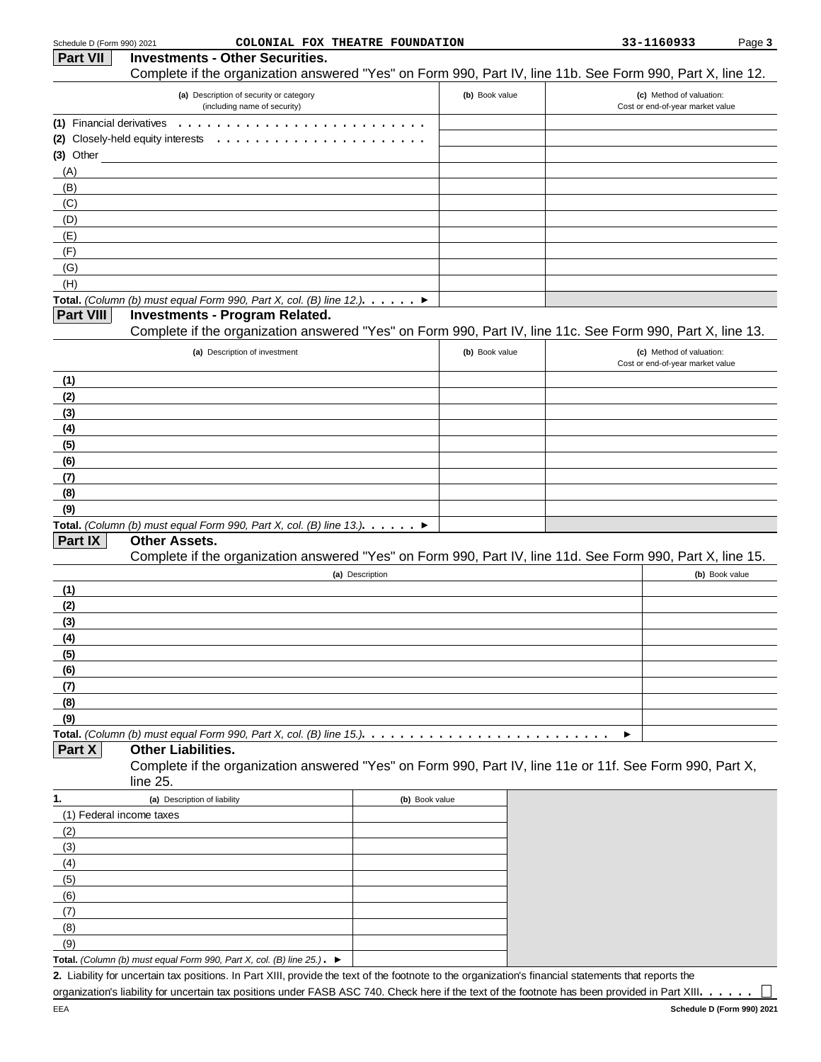| Schedule D (Form 990) 2021 | COLONIAL FOX THEATRE FOUNDATION                                                                            |                |   | 33-1160933                                                   | Page 3         |
|----------------------------|------------------------------------------------------------------------------------------------------------|----------------|---|--------------------------------------------------------------|----------------|
| <b>Part VII</b>            | <b>Investments - Other Securities.</b>                                                                     |                |   |                                                              |                |
|                            | Complete if the organization answered "Yes" on Form 990, Part IV, line 11b. See Form 990, Part X, line 12. |                |   |                                                              |                |
|                            | (a) Description of security or category<br>(including name of security)                                    | (b) Book value |   | (c) Method of valuation:<br>Cost or end-of-year market value |                |
| (1) Financial derivatives  | $\mathbf{1}$ and $\mathbf{1}$                                                                              |                |   |                                                              |                |
|                            | (2) Closely-held equity interests                                                                          |                |   |                                                              |                |
| $(3)$ Other                |                                                                                                            |                |   |                                                              |                |
| (A)                        |                                                                                                            |                |   |                                                              |                |
| (B)                        |                                                                                                            |                |   |                                                              |                |
| (C)                        |                                                                                                            |                |   |                                                              |                |
| (D)                        |                                                                                                            |                |   |                                                              |                |
| (E)                        |                                                                                                            |                |   |                                                              |                |
| (F)                        |                                                                                                            |                |   |                                                              |                |
| (G)                        |                                                                                                            |                |   |                                                              |                |
| (H)                        |                                                                                                            |                |   |                                                              |                |
|                            | <b>Total.</b> (Column (b) must equal Form 990, Part X, col. (B) line 12.). $\dots$ . $\triangleright$      |                |   |                                                              |                |
| Part VIII                  | <b>Investments - Program Related.</b>                                                                      |                |   |                                                              |                |
|                            | Complete if the organization answered "Yes" on Form 990, Part IV, line 11c. See Form 990, Part X, line 13. |                |   |                                                              |                |
|                            | (a) Description of investment                                                                              | (b) Book value |   | (c) Method of valuation:<br>Cost or end-of-year market value |                |
| (1)                        |                                                                                                            |                |   |                                                              |                |
| (2)                        |                                                                                                            |                |   |                                                              |                |
| (3)                        |                                                                                                            |                |   |                                                              |                |
| (4)                        |                                                                                                            |                |   |                                                              |                |
| (5)                        |                                                                                                            |                |   |                                                              |                |
| (6)                        |                                                                                                            |                |   |                                                              |                |
| (7)                        |                                                                                                            |                |   |                                                              |                |
| (8)                        |                                                                                                            |                |   |                                                              |                |
| (9)                        |                                                                                                            |                |   |                                                              |                |
|                            | Total. (Column (b) must equal Form 990, Part X, col. (B) line 13.). $\blacktriangleright$                  |                |   |                                                              |                |
| Part IX                    | <b>Other Assets.</b>                                                                                       |                |   |                                                              |                |
|                            | Complete if the organization answered "Yes" on Form 990, Part IV, line 11d. See Form 990, Part X, line 15. |                |   |                                                              |                |
|                            | (a) Description                                                                                            |                |   |                                                              | (b) Book value |
| (1)                        |                                                                                                            |                |   |                                                              |                |
| (2)                        |                                                                                                            |                |   |                                                              |                |
| (3)                        |                                                                                                            |                |   |                                                              |                |
| (4)                        |                                                                                                            |                |   |                                                              |                |
| (5)                        |                                                                                                            |                |   |                                                              |                |
| (6)                        |                                                                                                            |                |   |                                                              |                |
| (7)                        |                                                                                                            |                |   |                                                              |                |
| (8)                        |                                                                                                            |                |   |                                                              |                |
| (9)                        |                                                                                                            |                |   |                                                              |                |
|                            | Total. (Column (b) must equal Form 990, Part X, col. (B) line 15.). $\ldots$                               |                | ▶ |                                                              |                |

**Part X Other Liabilities.**

Complete if the organization answered "Yes" on Form 990, Part IV, line 11e or 11f. See Form 990, Part X, line 25.

| 1.  | (a) Description of liability                                                                 | (b) Book value |
|-----|----------------------------------------------------------------------------------------------|----------------|
|     | (1) Federal income taxes                                                                     |                |
| (2) |                                                                                              |                |
| (3) |                                                                                              |                |
| (4) |                                                                                              |                |
| (5) |                                                                                              |                |
| (6) |                                                                                              |                |
| (7) |                                                                                              |                |
| (8) |                                                                                              |                |
| (9) |                                                                                              |                |
|     | Total. (Column (b) must equal Form 990, Part X, col. (B) line $25$ .). $\blacktriangleright$ |                |

**2.** Liability for uncertain tax positions. In Part XIII, provide the text of the footnote to the organization's financial statements that reports the organization's liability for uncertain tax positions under FASB ASC 740. Check here if the text of the footnote has been provided in Part XIII. . . . . .

 $\Box$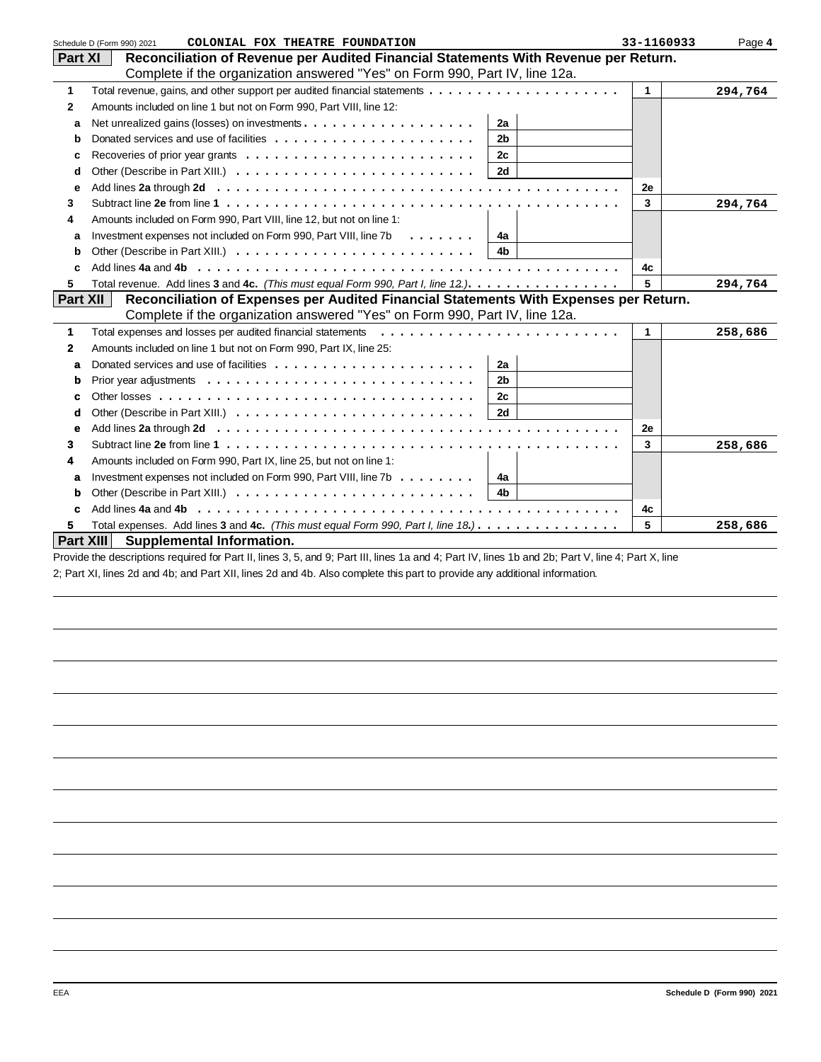|                 | COLONIAL FOX THEATRE FOUNDATION<br>Schedule D (Form 990) 2021                                                  | 33-1160933 | Page 4  |
|-----------------|----------------------------------------------------------------------------------------------------------------|------------|---------|
| Part XI         | Reconciliation of Revenue per Audited Financial Statements With Revenue per Return.                            |            |         |
|                 | Complete if the organization answered "Yes" on Form 990, Part IV, line 12a.                                    |            |         |
| 1               |                                                                                                                | 1          | 294,764 |
| $\mathbf{2}$    | Amounts included on line 1 but not on Form 990, Part VIII, line 12:                                            |            |         |
| a               | 2a                                                                                                             |            |         |
| b               | 2 <sub>b</sub>                                                                                                 |            |         |
| с               | 2c                                                                                                             |            |         |
| d               | 2d                                                                                                             |            |         |
| е               |                                                                                                                | 2е         |         |
| 3               |                                                                                                                | 3          | 294,764 |
| 4               | Amounts included on Form 990, Part VIII, line 12, but not on line 1:                                           |            |         |
| a               | Investment expenses not included on Form 990, Part VIII, line 7b<br>$\cdots$<br>4а                             |            |         |
| b               | 4 <sub>b</sub>                                                                                                 |            |         |
| C               |                                                                                                                | 4c         |         |
| 5               | Total revenue. Add lines 3 and 4c. (This must equal Form 990, Part I, line 12.).                               | 5          | 294,764 |
| <b>Part XII</b> | Reconciliation of Expenses per Audited Financial Statements With Expenses per Return.                          |            |         |
|                 | Complete if the organization answered "Yes" on Form 990, Part IV, line 12a.                                    |            |         |
| $\mathbf{1}$    |                                                                                                                | 1          | 258,686 |
| $\mathbf{2}$    | Amounts included on line 1 but not on Form 990, Part IX, line 25:                                              |            |         |
| a               | 2a                                                                                                             |            |         |
| b               | 2 <sub>b</sub>                                                                                                 |            |         |
| c               | 2c                                                                                                             |            |         |
| d               | 2d                                                                                                             |            |         |
| е               |                                                                                                                | 2е         |         |
| 3               |                                                                                                                | 3          | 258,686 |
| 4               | Amounts included on Form 990, Part IX, line 25, but not on line 1:                                             |            |         |
| a               | Investment expenses not included on Form 990, Part VIII, line 7b<br>4a                                         |            |         |
| b               | 4b                                                                                                             |            |         |
|                 | Add lines 4a and 4b entitled as a series of the series of the series of the series of the series of the series | 4c         |         |
|                 | Total expenses. Add lines 3 and 4c. (This must equal Form 990, Part I, line 18.).                              | 5          | 258,686 |
| Part XIII       | <b>Supplemental Information.</b>                                                                               |            |         |

Provide the descriptions required for Part II, lines 3, 5, and 9; Part III, lines 1a and 4; Part IV, lines 1b and 2b; Part V, line 4; Part X, line 2; Part XI, lines 2d and 4b; and Part XII, lines 2d and 4b. Also complete this part to provide any additional information.